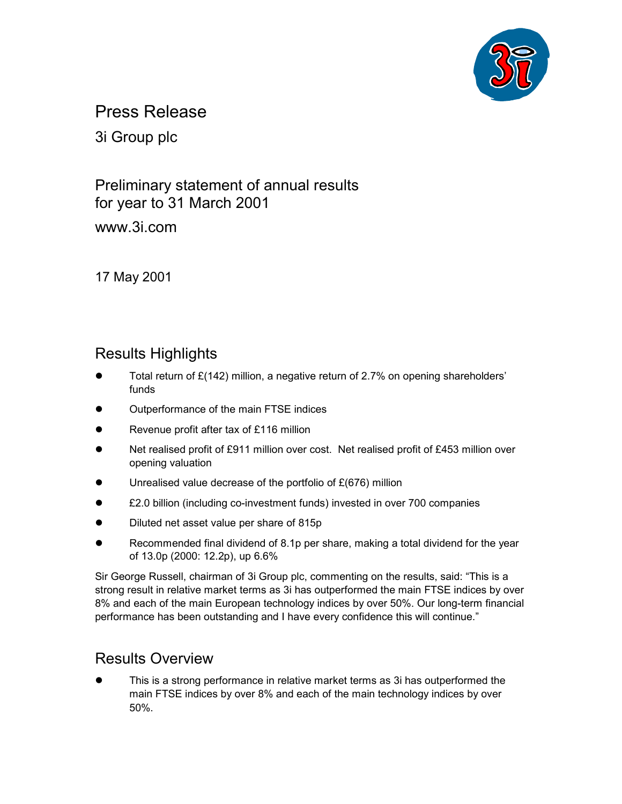

Press Release

3i Group plc

Preliminary statement of annual results for year to 31 March 2001 www.3i.com

17 May 2001

# Results Highlights

- $\bullet$  Total return of £(142) million, a negative return of 2.7% on opening shareholders' funds
- $\bullet$ Outperformance of the main FTSE indices
- $\bullet$ Revenue profit after tax of £116 million
- $\bullet$  Net realised profit of £911 million over cost. Net realised profit of £453 million over opening valuation
- $\bullet$ Unrealised value decrease of the portfolio of £(676) million
- $\bullet$ £2.0 billion (including co-investment funds) invested in over 700 companies
- $\bullet$ Diluted net asset value per share of 815p
- $\bullet$  Recommended final dividend of 8.1p per share, making a total dividend for the year of 13.0p (2000: 12.2p), up 6.6%

Sir George Russell, chairman of 3i Group plc, commenting on the results, said: "This is a strong result in relative market terms as 3i has outperformed the main FTSE indices by over 8% and each of the main European technology indices by over 50%. Our long-term financial performance has been outstanding and I have every confidence this will continue."

# Results Overview

 $\bullet$  This is a strong performance in relative market terms as 3i has outperformed the main FTSE indices by over 8% and each of the main technology indices by over 50%.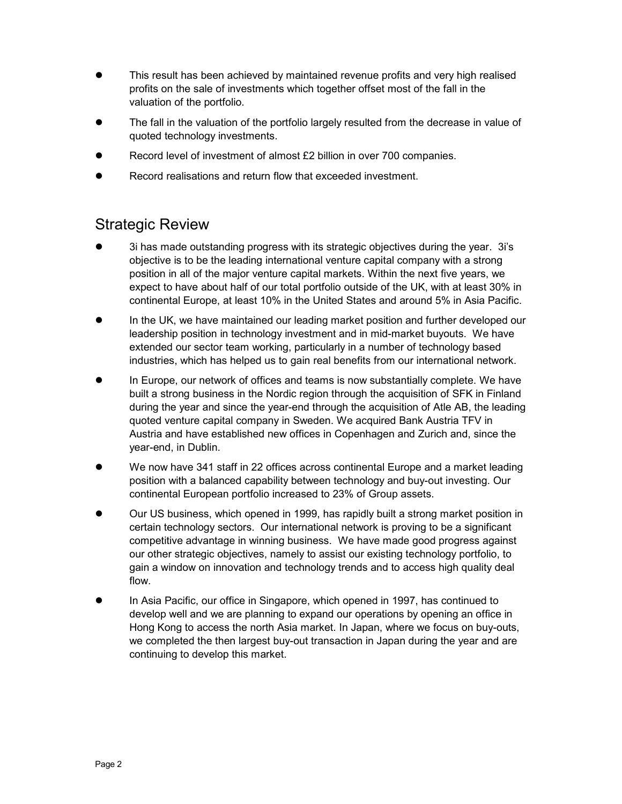- $\bullet$  This result has been achieved by maintained revenue profits and very high realised profits on the sale of investments which together offset most of the fall in the valuation of the portfolio.
- $\bullet$  The fall in the valuation of the portfolio largely resulted from the decrease in value of quoted technology investments.
- $\bullet$ Record level of investment of almost £2 billion in over 700 companies.
- $\bullet$ Record realisations and return flow that exceeded investment.

# Strategic Review

- $\bullet$  3i has made outstanding progress with its strategic objectives during the year. 3i's objective is to be the leading international venture capital company with a strong position in all of the major venture capital markets. Within the next five years, we expect to have about half of our total portfolio outside of the UK, with at least 30% in continental Europe, at least 10% in the United States and around 5% in Asia Pacific.
- $\bullet$  In the UK, we have maintained our leading market position and further developed our leadership position in technology investment and in mid-market buyouts. We have extended our sector team working, particularly in a number of technology based industries, which has helped us to gain real benefits from our international network.
- $\bullet$  In Europe, our network of offices and teams is now substantially complete. We have built a strong business in the Nordic region through the acquisition of SFK in Finland during the year and since the year-end through the acquisition of Atle AB, the leading quoted venture capital company in Sweden. We acquired Bank Austria TFV in Austria and have established new offices in Copenhagen and Zurich and, since the year-end, in Dublin.
- $\bullet$  We now have 341 staff in 22 offices across continental Europe and a market leading position with a balanced capability between technology and buy-out investing. Our continental European portfolio increased to 23% of Group assets.
- $\bullet$  Our US business, which opened in 1999, has rapidly built a strong market position in certain technology sectors. Our international network is proving to be a significant competitive advantage in winning business. We have made good progress against our other strategic objectives, namely to assist our existing technology portfolio, to gain a window on innovation and technology trends and to access high quality deal flow.
- $\bullet$  In Asia Pacific, our office in Singapore, which opened in 1997, has continued to develop well and we are planning to expand our operations by opening an office in Hong Kong to access the north Asia market. In Japan, where we focus on buy-outs, we completed the then largest buy-out transaction in Japan during the year and are continuing to develop this market.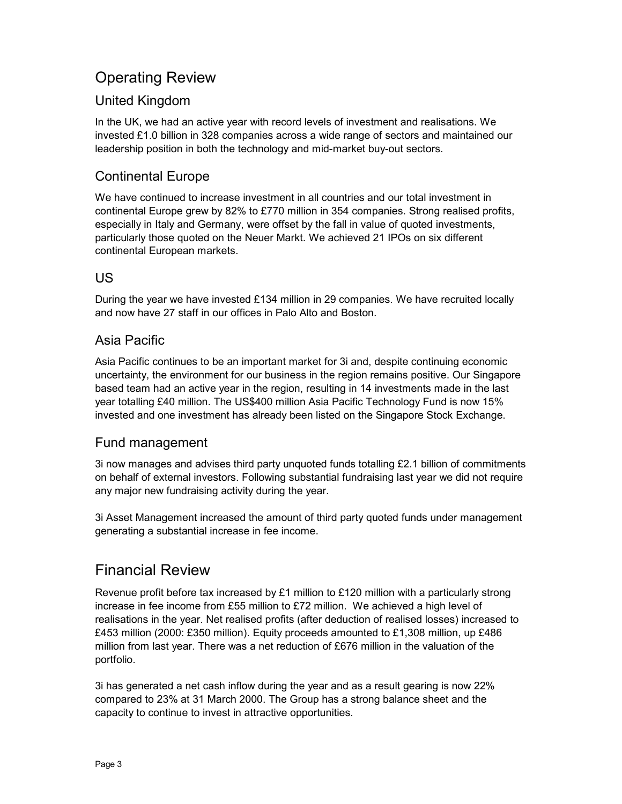# Operating Review

## United Kingdom

In the UK, we had an active year with record levels of investment and realisations. We invested £1.0 billion in 328 companies across a wide range of sectors and maintained our leadership position in both the technology and mid-market buy-out sectors.

## Continental Europe

We have continued to increase investment in all countries and our total investment in continental Europe grew by 82% to £770 million in 354 companies. Strong realised profits, especially in Italy and Germany, were offset by the fall in value of quoted investments, particularly those quoted on the Neuer Markt. We achieved 21 IPOs on six different continental European markets.

## US

During the year we have invested £134 million in 29 companies. We have recruited locally and now have 27 staff in our offices in Palo Alto and Boston.

## Asia Pacific

Asia Pacific continues to be an important market for 3i and, despite continuing economic uncertainty, the environment for our business in the region remains positive. Our Singapore based team had an active year in the region, resulting in 14 investments made in the last year totalling £40 million. The US\$400 million Asia Pacific Technology Fund is now 15% invested and one investment has already been listed on the Singapore Stock Exchange.

## Fund management

3i now manages and advises third party unquoted funds totalling £2.1 billion of commitments on behalf of external investors. Following substantial fundraising last year we did not require any major new fundraising activity during the year.

3i Asset Management increased the amount of third party quoted funds under management generating a substantial increase in fee income.

# Financial Review

Revenue profit before tax increased by £1 million to £120 million with a particularly strong increase in fee income from £55 million to £72 million. We achieved a high level of realisations in the year. Net realised profits (after deduction of realised losses) increased to £453 million (2000: £350 million). Equity proceeds amounted to £1,308 million, up £486 million from last year. There was a net reduction of £676 million in the valuation of the portfolio.

3i has generated a net cash inflow during the year and as a result gearing is now 22% compared to 23% at 31 March 2000. The Group has a strong balance sheet and the capacity to continue to invest in attractive opportunities.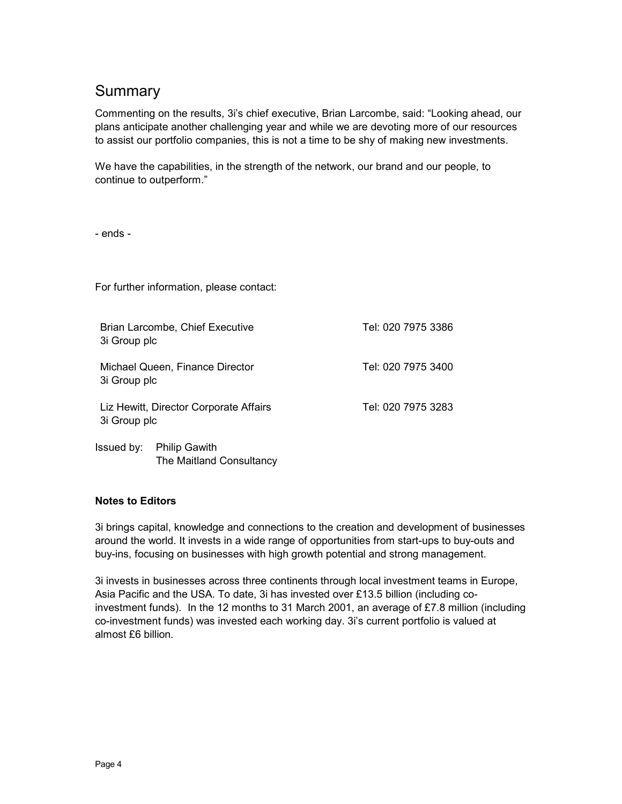## **Summary**

Commenting on the results, 3i's chief executive, Brian Larcombe, said: "Looking ahead, our plans anticipate another challenging year and while we are devoting more of our resources to assist our portfolio companies, this is not a time to be shy of making new investments.

We have the capabilities, in the strength of the network, our brand and our people, to continue to outperform."

- ends -

For further information, please contact:

| 3i Group plc | Brian Larcombe, Chief Executive                  | Tel: 020 7975 3386 |
|--------------|--------------------------------------------------|--------------------|
| 3i Group plc | Michael Queen, Finance Director                  | Tel: 020 7975 3400 |
| 3i Group plc | Liz Hewitt, Director Corporate Affairs           | Tel: 020 7975 3283 |
| lssued by:   | <b>Philip Gawith</b><br>The Maitland Consultancy |                    |

## **Notes to Editors**

3i brings capital, knowledge and connections to the creation and development of businesses around the world. It invests in a wide range of opportunities from start-ups to buy-outs and buy-ins, focusing on businesses with high growth potential and strong management.

3i invests in businesses across three continents through local investment teams in Europe, Asia Pacific and the USA. To date, 3i has invested over £13.5 billion (including coinvestment funds). In the 12 months to 31 March 2001, an average of £7.8 million (including co-investment funds) was invested each working day. 3i's current portfolio is valued at almost £6 billion.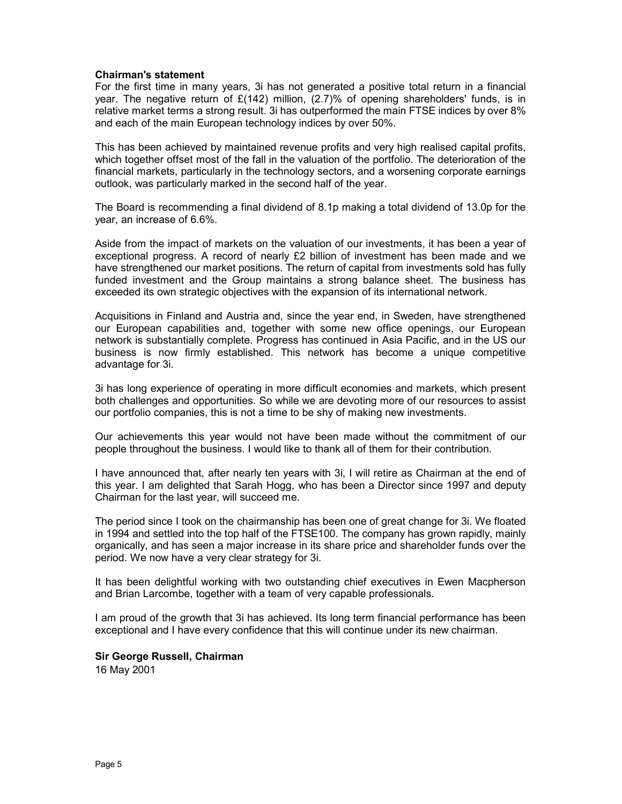## **Chairman's statement**

For the first time in many years, 3i has not generated a positive total return in a financial year. The negative return of  $\mathcal{L}(142)$  million, (2.7)% of opening shareholders' funds, is in relative market terms a strong result. 3i has outperformed the main FTSE indices by over 8% and each of the main European technology indices by over 50%.

This has been achieved by maintained revenue profits and very high realised capital profits, which together offset most of the fall in the valuation of the portfolio. The deterioration of the financial markets, particularly in the technology sectors, and a worsening corporate earnings outlook, was particularly marked in the second half of the year.

The Board is recommending a final dividend of 8.1p making a total dividend of 13.0p for the year, an increase of 6.6%.

Aside from the impact of markets on the valuation of our investments, it has been a year of exceptional progress. A record of nearly £2 billion of investment has been made and we have strengthened our market positions. The return of capital from investments sold has fully funded investment and the Group maintains a strong balance sheet. The business has exceeded its own strategic objectives with the expansion of its international network.

Acquisitions in Finland and Austria and, since the year end, in Sweden, have strengthened our European capabilities and, together with some new office openings, our European network is substantially complete. Progress has continued in Asia Pacific, and in the US our business is now firmly established. This network has become a unique competitive advantage for 3i.

3i has long experience of operating in more difficult economies and markets, which present both challenges and opportunities. So while we are devoting more of our resources to assist our portfolio companies, this is not a time to be shy of making new investments.

Our achievements this year would not have been made without the commitment of our people throughout the business. I would like to thank all of them for their contribution.

I have announced that, after nearly ten years with 3i, I will retire as Chairman at the end of this year. I am delighted that Sarah Hogg, who has been a Director since 1997 and deputy Chairman for the last year, will succeed me.

The period since I took on the chairmanship has been one of great change for 3i. We floated in 1994 and settled into the top half of the FTSE100. The company has grown rapidly, mainly organically, and has seen a major increase in its share price and shareholder funds over the period. We now have a very clear strategy for 3i.

It has been delightful working with two outstanding chief executives in Ewen Macpherson and Brian Larcombe, together with a team of very capable professionals.

I am proud of the growth that 3i has achieved. Its long term financial performance has been exceptional and I have every confidence that this will continue under its new chairman.

**Sir George Russell, Chairman**  16 May 2001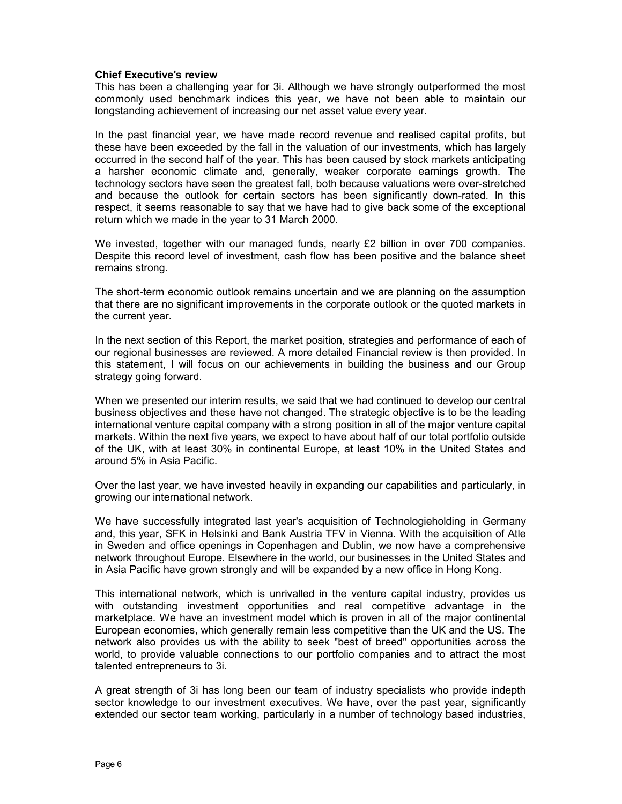## **Chief Executive's review**

This has been a challenging year for 3i. Although we have strongly outperformed the most commonly used benchmark indices this year, we have not been able to maintain our longstanding achievement of increasing our net asset value every year.

In the past financial year, we have made record revenue and realised capital profits, but these have been exceeded by the fall in the valuation of our investments, which has largely occurred in the second half of the year. This has been caused by stock markets anticipating a harsher economic climate and, generally, weaker corporate earnings growth. The technology sectors have seen the greatest fall, both because valuations were over-stretched and because the outlook for certain sectors has been significantly down-rated. In this respect, it seems reasonable to say that we have had to give back some of the exceptional return which we made in the year to 31 March 2000.

We invested, together with our managed funds, nearly £2 billion in over 700 companies. Despite this record level of investment, cash flow has been positive and the balance sheet remains strong.

The short-term economic outlook remains uncertain and we are planning on the assumption that there are no significant improvements in the corporate outlook or the quoted markets in the current year.

In the next section of this Report, the market position, strategies and performance of each of our regional businesses are reviewed. A more detailed Financial review is then provided. In this statement, I will focus on our achievements in building the business and our Group strategy going forward.

When we presented our interim results, we said that we had continued to develop our central business objectives and these have not changed. The strategic objective is to be the leading international venture capital company with a strong position in all of the major venture capital markets. Within the next five years, we expect to have about half of our total portfolio outside of the UK, with at least 30% in continental Europe, at least 10% in the United States and around 5% in Asia Pacific.

Over the last year, we have invested heavily in expanding our capabilities and particularly, in growing our international network.

We have successfully integrated last year's acquisition of Technologieholding in Germany and, this year, SFK in Helsinki and Bank Austria TFV in Vienna. With the acquisition of Atle in Sweden and office openings in Copenhagen and Dublin, we now have a comprehensive network throughout Europe. Elsewhere in the world, our businesses in the United States and in Asia Pacific have grown strongly and will be expanded by a new office in Hong Kong.

This international network, which is unrivalled in the venture capital industry, provides us with outstanding investment opportunities and real competitive advantage in the marketplace. We have an investment model which is proven in all of the major continental European economies, which generally remain less competitive than the UK and the US. The network also provides us with the ability to seek "best of breed" opportunities across the world, to provide valuable connections to our portfolio companies and to attract the most talented entrepreneurs to 3i.

A great strength of 3i has long been our team of industry specialists who provide indepth sector knowledge to our investment executives. We have, over the past year, significantly extended our sector team working, particularly in a number of technology based industries,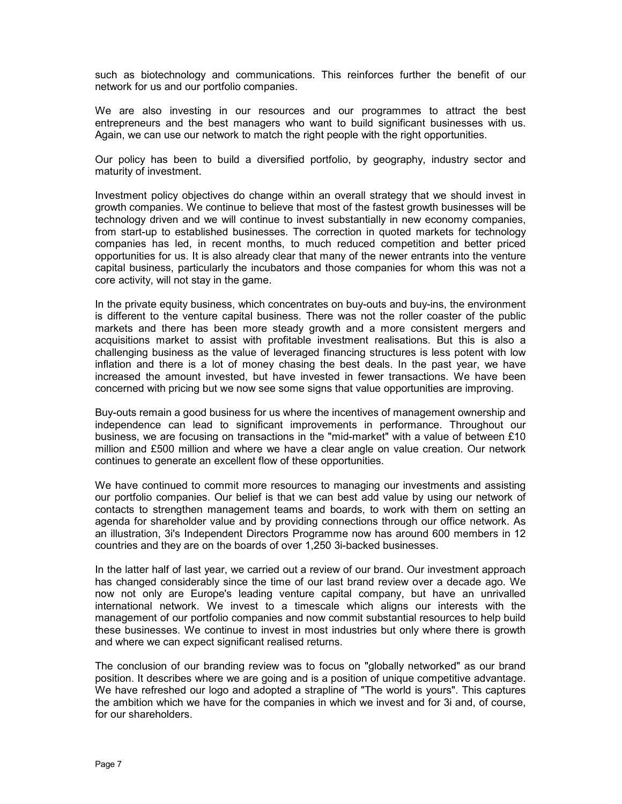such as biotechnology and communications. This reinforces further the benefit of our network for us and our portfolio companies.

We are also investing in our resources and our programmes to attract the best entrepreneurs and the best managers who want to build significant businesses with us. Again, we can use our network to match the right people with the right opportunities.

Our policy has been to build a diversified portfolio, by geography, industry sector and maturity of investment.

Investment policy objectives do change within an overall strategy that we should invest in growth companies. We continue to believe that most of the fastest growth businesses will be technology driven and we will continue to invest substantially in new economy companies, from start-up to established businesses. The correction in quoted markets for technology companies has led, in recent months, to much reduced competition and better priced opportunities for us. It is also already clear that many of the newer entrants into the venture capital business, particularly the incubators and those companies for whom this was not a core activity, will not stay in the game.

In the private equity business, which concentrates on buy-outs and buy-ins, the environment is different to the venture capital business. There was not the roller coaster of the public markets and there has been more steady growth and a more consistent mergers and acquisitions market to assist with profitable investment realisations. But this is also a challenging business as the value of leveraged financing structures is less potent with low inflation and there is a lot of money chasing the best deals. In the past year, we have increased the amount invested, but have invested in fewer transactions. We have been concerned with pricing but we now see some signs that value opportunities are improving.

Buy-outs remain a good business for us where the incentives of management ownership and independence can lead to significant improvements in performance. Throughout our business, we are focusing on transactions in the "mid-market" with a value of between £10 million and £500 million and where we have a clear angle on value creation. Our network continues to generate an excellent flow of these opportunities.

We have continued to commit more resources to managing our investments and assisting our portfolio companies. Our belief is that we can best add value by using our network of contacts to strengthen management teams and boards, to work with them on setting an agenda for shareholder value and by providing connections through our office network. As an illustration, 3i's Independent Directors Programme now has around 600 members in 12 countries and they are on the boards of over 1,250 3i-backed businesses.

In the latter half of last year, we carried out a review of our brand. Our investment approach has changed considerably since the time of our last brand review over a decade ago. We now not only are Europe's leading venture capital company, but have an unrivalled international network. We invest to a timescale which aligns our interests with the management of our portfolio companies and now commit substantial resources to help build these businesses. We continue to invest in most industries but only where there is growth and where we can expect significant realised returns.

The conclusion of our branding review was to focus on "globally networked" as our brand position. It describes where we are going and is a position of unique competitive advantage. We have refreshed our logo and adopted a strapline of "The world is yours". This captures the ambition which we have for the companies in which we invest and for 3i and, of course, for our shareholders.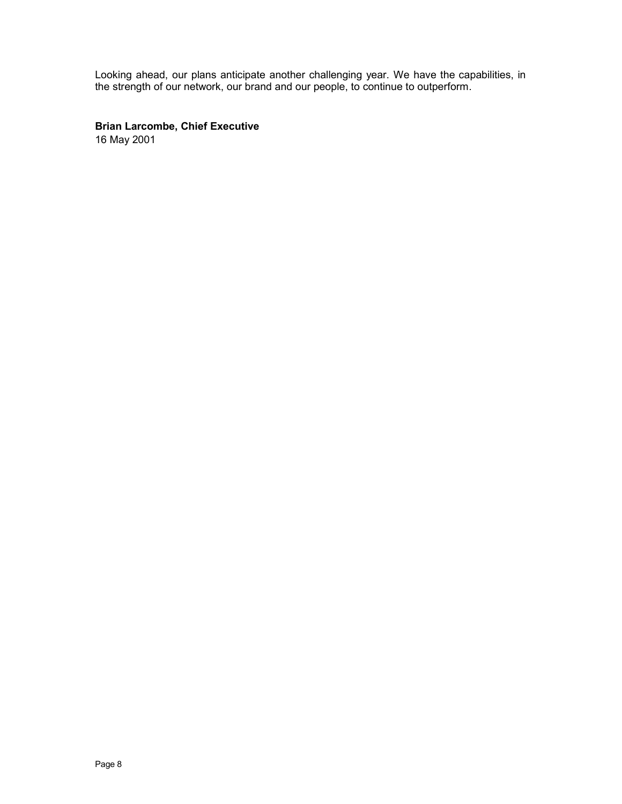Looking ahead, our plans anticipate another challenging year. We have the capabilities, in the strength of our network, our brand and our people, to continue to outperform.

**Brian Larcombe, Chief Executive**

16 May 2001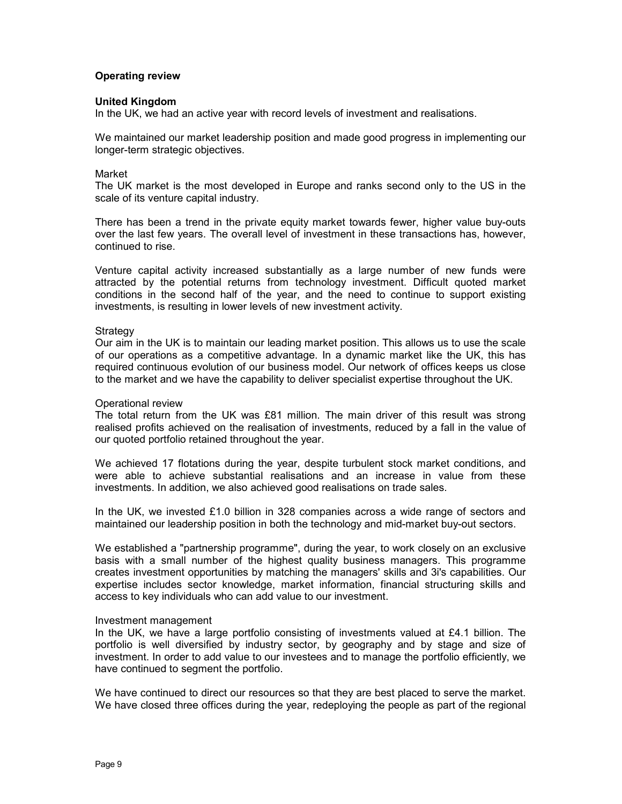## **Operating review**

#### **United Kingdom**

In the UK, we had an active year with record levels of investment and realisations.

We maintained our market leadership position and made good progress in implementing our longer-term strategic objectives.

#### Market

The UK market is the most developed in Europe and ranks second only to the US in the scale of its venture capital industry.

There has been a trend in the private equity market towards fewer, higher value buy-outs over the last few years. The overall level of investment in these transactions has, however, continued to rise.

Venture capital activity increased substantially as a large number of new funds were attracted by the potential returns from technology investment. Difficult quoted market conditions in the second half of the year, and the need to continue to support existing investments, is resulting in lower levels of new investment activity.

#### **Strategy**

Our aim in the UK is to maintain our leading market position. This allows us to use the scale of our operations as a competitive advantage. In a dynamic market like the UK, this has required continuous evolution of our business model. Our network of offices keeps us close to the market and we have the capability to deliver specialist expertise throughout the UK.

#### Operational review

The total return from the UK was £81 million. The main driver of this result was strong realised profits achieved on the realisation of investments, reduced by a fall in the value of our quoted portfolio retained throughout the year.

We achieved 17 flotations during the year, despite turbulent stock market conditions, and were able to achieve substantial realisations and an increase in value from these investments. In addition, we also achieved good realisations on trade sales.

In the UK, we invested £1.0 billion in 328 companies across a wide range of sectors and maintained our leadership position in both the technology and mid-market buy-out sectors.

We established a "partnership programme", during the year, to work closely on an exclusive basis with a small number of the highest quality business managers. This programme creates investment opportunities by matching the managers' skills and 3i's capabilities. Our expertise includes sector knowledge, market information, financial structuring skills and access to key individuals who can add value to our investment.

#### Investment management

In the UK, we have a large portfolio consisting of investments valued at  $E4.1$  billion. The portfolio is well diversified by industry sector, by geography and by stage and size of investment. In order to add value to our investees and to manage the portfolio efficiently, we have continued to segment the portfolio.

We have continued to direct our resources so that they are best placed to serve the market. We have closed three offices during the year, redeploying the people as part of the regional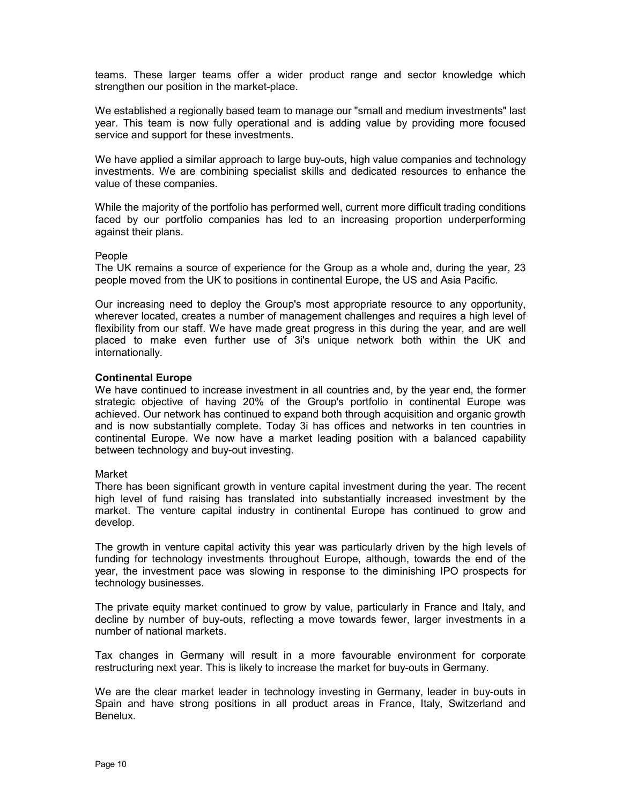teams. These larger teams offer a wider product range and sector knowledge which strengthen our position in the market-place.

We established a regionally based team to manage our "small and medium investments" last year. This team is now fully operational and is adding value by providing more focused service and support for these investments.

We have applied a similar approach to large buy-outs, high value companies and technology investments. We are combining specialist skills and dedicated resources to enhance the value of these companies.

While the majority of the portfolio has performed well, current more difficult trading conditions faced by our portfolio companies has led to an increasing proportion underperforming against their plans.

#### People

The UK remains a source of experience for the Group as a whole and, during the year, 23 people moved from the UK to positions in continental Europe, the US and Asia Pacific.

Our increasing need to deploy the Group's most appropriate resource to any opportunity, wherever located, creates a number of management challenges and requires a high level of flexibility from our staff. We have made great progress in this during the year, and are well placed to make even further use of 3i's unique network both within the UK and internationally.

## **Continental Europe**

We have continued to increase investment in all countries and, by the year end, the former strategic objective of having 20% of the Group's portfolio in continental Europe was achieved. Our network has continued to expand both through acquisition and organic growth and is now substantially complete. Today 3i has offices and networks in ten countries in continental Europe. We now have a market leading position with a balanced capability between technology and buy-out investing.

## Market

There has been significant growth in venture capital investment during the year. The recent high level of fund raising has translated into substantially increased investment by the market. The venture capital industry in continental Europe has continued to grow and develop.

The growth in venture capital activity this year was particularly driven by the high levels of funding for technology investments throughout Europe, although, towards the end of the year, the investment pace was slowing in response to the diminishing IPO prospects for technology businesses.

The private equity market continued to grow by value, particularly in France and Italy, and decline by number of buy-outs, reflecting a move towards fewer, larger investments in a number of national markets.

Tax changes in Germany will result in a more favourable environment for corporate restructuring next year. This is likely to increase the market for buy-outs in Germany.

We are the clear market leader in technology investing in Germany, leader in buy-outs in Spain and have strong positions in all product areas in France, Italy, Switzerland and Benelux.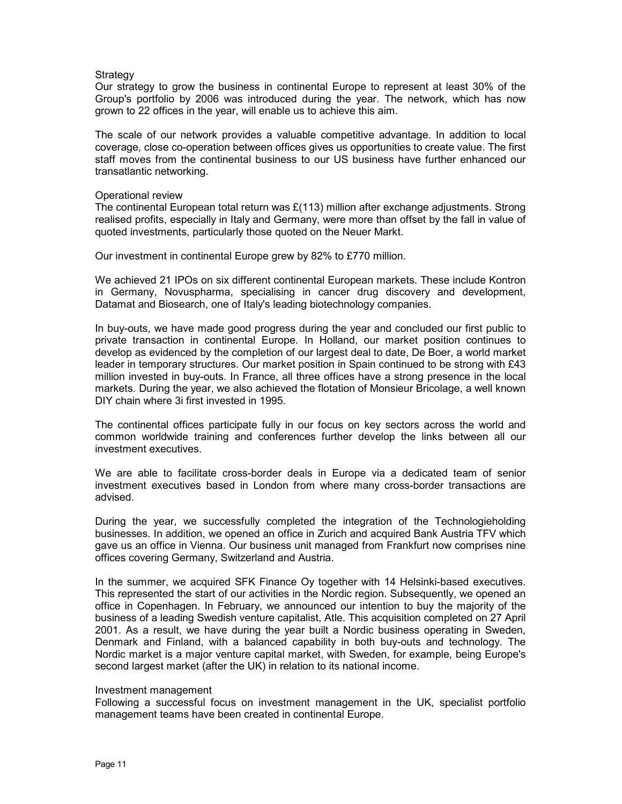## **Strategy**

Our strategy to grow the business in continental Europe to represent at least 30% of the Group's portfolio by 2006 was introduced during the year. The network, which has now grown to 22 offices in the year, will enable us to achieve this aim.

The scale of our network provides a valuable competitive advantage. In addition to local coverage, close co-operation between offices gives us opportunities to create value. The first staff moves from the continental business to our US business have further enhanced our transatlantic networking.

## Operational review

The continental European total return was £(113) million after exchange adjustments. Strong realised profits, especially in Italy and Germany, were more than offset by the fall in value of quoted investments, particularly those quoted on the Neuer Markt.

Our investment in continental Europe grew by 82% to £770 million.

We achieved 21 IPOs on six different continental European markets. These include Kontron in Germany, Novuspharma, specialising in cancer drug discovery and development, Datamat and Biosearch, one of Italy's leading biotechnology companies.

In buy-outs, we have made good progress during the year and concluded our first public to private transaction in continental Europe. In Holland, our market position continues to develop as evidenced by the completion of our largest deal to date, De Boer, a world market leader in temporary structures. Our market position in Spain continued to be strong with £43 million invested in buy-outs. In France, all three offices have a strong presence in the local markets. During the year, we also achieved the flotation of Monsieur Bricolage, a well known DIY chain where 3i first invested in 1995.

The continental offices participate fully in our focus on key sectors across the world and common worldwide training and conferences further develop the links between all our investment executives.

We are able to facilitate cross-border deals in Europe via a dedicated team of senior investment executives based in London from where many cross-border transactions are advised.

During the year, we successfully completed the integration of the Technologieholding businesses. In addition, we opened an office in Zurich and acquired Bank Austria TFV which gave us an office in Vienna. Our business unit managed from Frankfurt now comprises nine offices covering Germany, Switzerland and Austria.

In the summer, we acquired SFK Finance Oy together with 14 Helsinki-based executives. This represented the start of our activities in the Nordic region. Subsequently, we opened an office in Copenhagen. In February, we announced our intention to buy the majority of the business of a leading Swedish venture capitalist, Atle. This acquisition completed on 27 April 2001. As a result, we have during the year built a Nordic business operating in Sweden, Denmark and Finland, with a balanced capability in both buy-outs and technology. The Nordic market is a major venture capital market, with Sweden, for example, being Europe's second largest market (after the UK) in relation to its national income.

#### Investment management

Following a successful focus on investment management in the UK, specialist portfolio management teams have been created in continental Europe.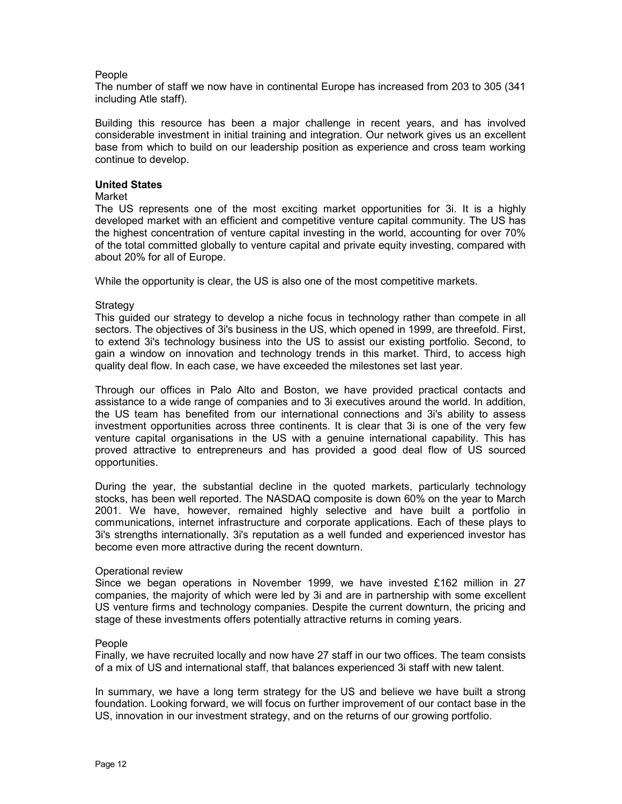## People

The number of staff we now have in continental Europe has increased from 203 to 305 (341 including Atle staff).

Building this resource has been a major challenge in recent years, and has involved considerable investment in initial training and integration. Our network gives us an excellent base from which to build on our leadership position as experience and cross team working continue to develop.

## **United States**

## Market

The US represents one of the most exciting market opportunities for 3i. It is a highly developed market with an efficient and competitive venture capital community. The US has the highest concentration of venture capital investing in the world, accounting for over 70% of the total committed globally to venture capital and private equity investing, compared with about 20% for all of Europe.

While the opportunity is clear, the US is also one of the most competitive markets.

## Strategy

This guided our strategy to develop a niche focus in technology rather than compete in all sectors. The objectives of 3i's business in the US, which opened in 1999, are threefold. First, to extend 3i's technology business into the US to assist our existing portfolio. Second, to gain a window on innovation and technology trends in this market. Third, to access high quality deal flow. In each case, we have exceeded the milestones set last year.

Through our offices in Palo Alto and Boston, we have provided practical contacts and assistance to a wide range of companies and to 3i executives around the world. In addition, the US team has benefited from our international connections and 3i's ability to assess investment opportunities across three continents. It is clear that 3i is one of the very few venture capital organisations in the US with a genuine international capability. This has proved attractive to entrepreneurs and has provided a good deal flow of US sourced opportunities.

During the year, the substantial decline in the quoted markets, particularly technology stocks, has been well reported. The NASDAQ composite is down 60% on the year to March 2001. We have, however, remained highly selective and have built a portfolio in communications, internet infrastructure and corporate applications. Each of these plays to 3i's strengths internationally. 3i's reputation as a well funded and experienced investor has become even more attractive during the recent downturn.

## Operational review

Since we began operations in November 1999, we have invested £162 million in 27 companies, the majority of which were led by 3i and are in partnership with some excellent US venture firms and technology companies. Despite the current downturn, the pricing and stage of these investments offers potentially attractive returns in coming years.

## People

Finally, we have recruited locally and now have 27 staff in our two offices. The team consists of a mix of US and international staff, that balances experienced 3i staff with new talent.

In summary, we have a long term strategy for the US and believe we have built a strong foundation. Looking forward, we will focus on further improvement of our contact base in the US, innovation in our investment strategy, and on the returns of our growing portfolio.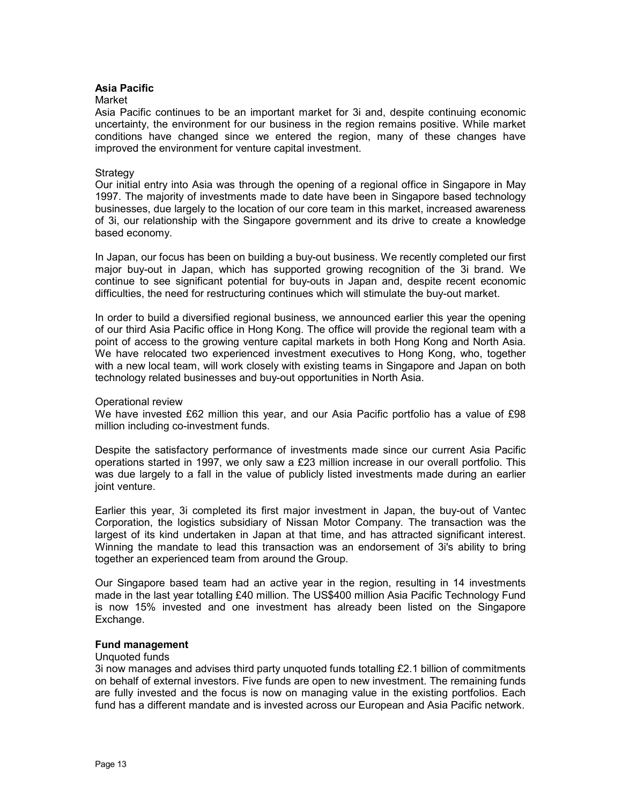## **Asia Pacific**

#### Market

Asia Pacific continues to be an important market for 3i and, despite continuing economic uncertainty, the environment for our business in the region remains positive. While market conditions have changed since we entered the region, many of these changes have improved the environment for venture capital investment.

#### Strategy

Our initial entry into Asia was through the opening of a regional office in Singapore in May 1997. The majority of investments made to date have been in Singapore based technology businesses, due largely to the location of our core team in this market, increased awareness of 3i, our relationship with the Singapore government and its drive to create a knowledge based economy.

In Japan, our focus has been on building a buy-out business. We recently completed our first major buy-out in Japan, which has supported growing recognition of the 3i brand. We continue to see significant potential for buy-outs in Japan and, despite recent economic difficulties, the need for restructuring continues which will stimulate the buy-out market.

In order to build a diversified regional business, we announced earlier this year the opening of our third Asia Pacific office in Hong Kong. The office will provide the regional team with a point of access to the growing venture capital markets in both Hong Kong and North Asia. We have relocated two experienced investment executives to Hong Kong, who, together with a new local team, will work closely with existing teams in Singapore and Japan on both technology related businesses and buy-out opportunities in North Asia.

#### Operational review

We have invested £62 million this year, and our Asia Pacific portfolio has a value of £98 million including co-investment funds.

Despite the satisfactory performance of investments made since our current Asia Pacific operations started in 1997, we only saw a £23 million increase in our overall portfolio. This was due largely to a fall in the value of publicly listed investments made during an earlier joint venture.

Earlier this year, 3i completed its first major investment in Japan, the buy-out of Vantec Corporation, the logistics subsidiary of Nissan Motor Company. The transaction was the largest of its kind undertaken in Japan at that time, and has attracted significant interest. Winning the mandate to lead this transaction was an endorsement of 3i's ability to bring together an experienced team from around the Group.

Our Singapore based team had an active year in the region, resulting in 14 investments made in the last year totalling £40 million. The US\$400 million Asia Pacific Technology Fund is now 15% invested and one investment has already been listed on the Singapore Exchange.

## **Fund management**

#### Unquoted funds

3i now manages and advises third party unquoted funds totalling £2.1 billion of commitments on behalf of external investors. Five funds are open to new investment. The remaining funds are fully invested and the focus is now on managing value in the existing portfolios. Each fund has a different mandate and is invested across our European and Asia Pacific network.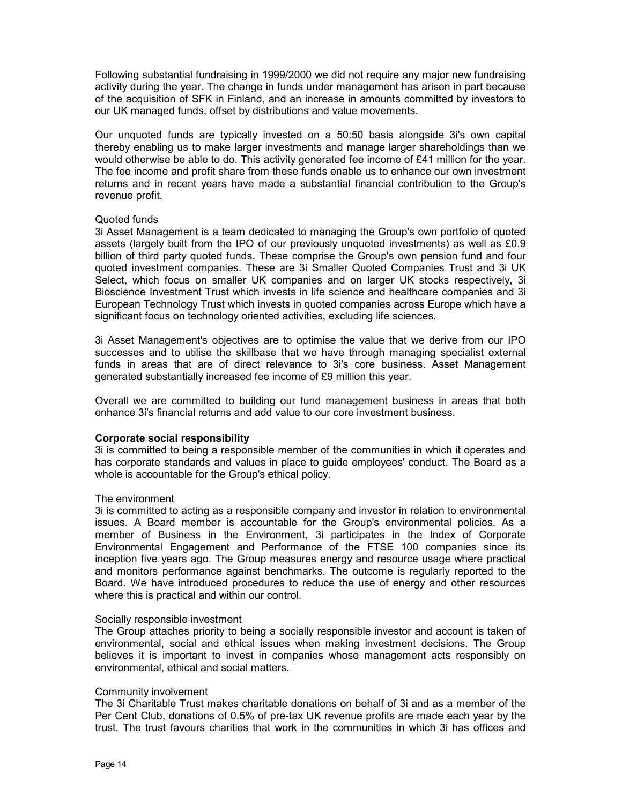Following substantial fundraising in 1999/2000 we did not require any major new fundraising activity during the year. The change in funds under management has arisen in part because of the acquisition of SFK in Finland, and an increase in amounts committed by investors to our UK managed funds, offset by distributions and value movements.

Our unquoted funds are typically invested on a 50:50 basis alongside 3i's own capital thereby enabling us to make larger investments and manage larger shareholdings than we would otherwise be able to do. This activity generated fee income of £41 million for the year. The fee income and profit share from these funds enable us to enhance our own investment returns and in recent years have made a substantial financial contribution to the Group's revenue profit.

## Quoted funds

3i Asset Management is a team dedicated to managing the Group's own portfolio of quoted assets (largely built from the IPO of our previously unquoted investments) as well as £0.9 billion of third party quoted funds. These comprise the Group's own pension fund and four quoted investment companies. These are 3i Smaller Quoted Companies Trust and 3i UK Select, which focus on smaller UK companies and on larger UK stocks respectively, 3i Bioscience Investment Trust which invests in life science and healthcare companies and 3i European Technology Trust which invests in quoted companies across Europe which have a significant focus on technology oriented activities, excluding life sciences.

3i Asset Management's objectives are to optimise the value that we derive from our IPO successes and to utilise the skillbase that we have through managing specialist external funds in areas that are of direct relevance to 3i's core business. Asset Management generated substantially increased fee income of £9 million this year.

Overall we are committed to building our fund management business in areas that both enhance 3i's financial returns and add value to our core investment business.

## **Corporate social responsibility**

3i is committed to being a responsible member of the communities in which it operates and has corporate standards and values in place to guide employees' conduct. The Board as a whole is accountable for the Group's ethical policy.

## The environment

3i is committed to acting as a responsible company and investor in relation to environmental issues. A Board member is accountable for the Group's environmental policies. As a member of Business in the Environment, 3i participates in the Index of Corporate Environmental Engagement and Performance of the FTSE 100 companies since its inception five years ago. The Group measures energy and resource usage where practical and monitors performance against benchmarks. The outcome is regularly reported to the Board. We have introduced procedures to reduce the use of energy and other resources where this is practical and within our control.

#### Socially responsible investment

The Group attaches priority to being a socially responsible investor and account is taken of environmental, social and ethical issues when making investment decisions. The Group believes it is important to invest in companies whose management acts responsibly on environmental, ethical and social matters.

#### Community involvement

The 3i Charitable Trust makes charitable donations on behalf of 3i and as a member of the Per Cent Club, donations of 0.5% of pre-tax UK revenue profits are made each year by the trust. The trust favours charities that work in the communities in which 3i has offices and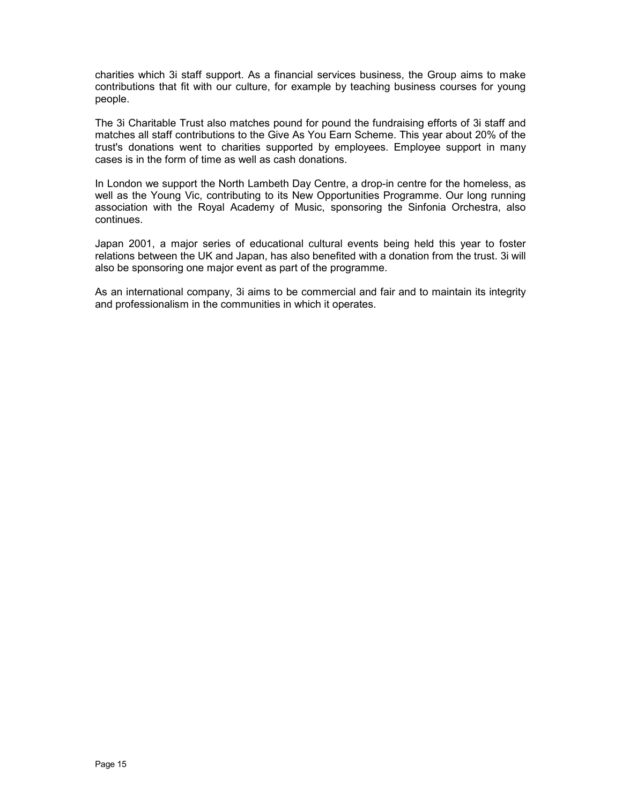charities which 3i staff support. As a financial services business, the Group aims to make contributions that fit with our culture, for example by teaching business courses for young people.

The 3i Charitable Trust also matches pound for pound the fundraising efforts of 3i staff and matches all staff contributions to the Give As You Earn Scheme. This year about 20% of the trust's donations went to charities supported by employees. Employee support in many cases is in the form of time as well as cash donations.

In London we support the North Lambeth Day Centre, a drop-in centre for the homeless, as well as the Young Vic, contributing to its New Opportunities Programme. Our long running association with the Royal Academy of Music, sponsoring the Sinfonia Orchestra, also continues.

Japan 2001, a major series of educational cultural events being held this year to foster relations between the UK and Japan, has also benefited with a donation from the trust. 3i will also be sponsoring one major event as part of the programme.

As an international company, 3i aims to be commercial and fair and to maintain its integrity and professionalism in the communities in which it operates.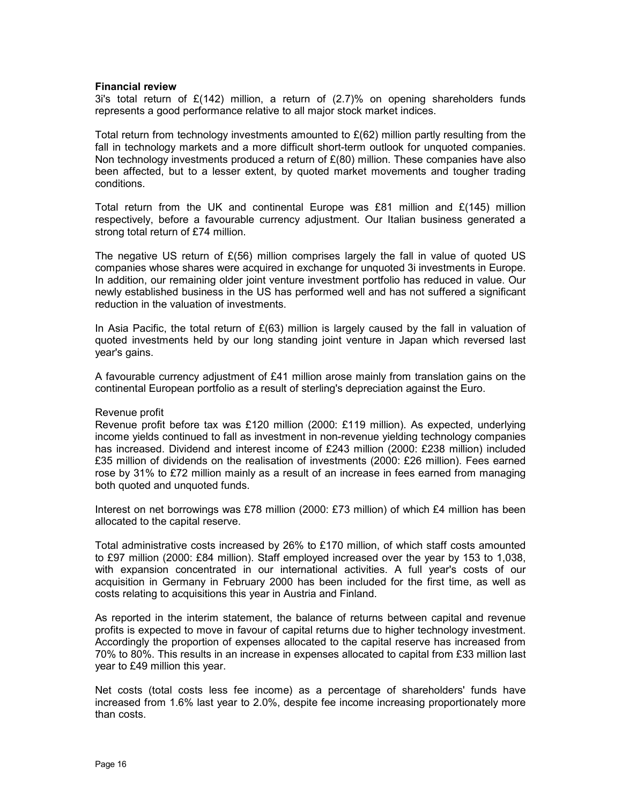#### **Financial review**

3i's total return of  $E(142)$  million, a return of  $(2.7)$ % on opening shareholders funds represents a good performance relative to all major stock market indices.

Total return from technology investments amounted to  $E(62)$  million partly resulting from the fall in technology markets and a more difficult short-term outlook for unquoted companies. Non technology investments produced a return of  $E(80)$  million. These companies have also been affected, but to a lesser extent, by quoted market movements and tougher trading conditions.

Total return from the UK and continental Europe was £81 million and  $E(145)$  million respectively, before a favourable currency adjustment. Our Italian business generated a strong total return of £74 million.

The negative US return of  $E(56)$  million comprises largely the fall in value of quoted US companies whose shares were acquired in exchange for unquoted 3i investments in Europe. In addition, our remaining older joint venture investment portfolio has reduced in value. Our newly established business in the US has performed well and has not suffered a significant reduction in the valuation of investments.

In Asia Pacific, the total return of  $E(63)$  million is largely caused by the fall in valuation of quoted investments held by our long standing joint venture in Japan which reversed last year's gains.

A favourable currency adjustment of £41 million arose mainly from translation gains on the continental European portfolio as a result of sterling's depreciation against the Euro.

#### Revenue profit

Revenue profit before tax was £120 million (2000: £119 million). As expected, underlying income yields continued to fall as investment in non-revenue yielding technology companies has increased. Dividend and interest income of £243 million (2000: £238 million) included £35 million of dividends on the realisation of investments (2000: £26 million). Fees earned rose by 31% to £72 million mainly as a result of an increase in fees earned from managing both quoted and unquoted funds.

Interest on net borrowings was £78 million (2000: £73 million) of which £4 million has been allocated to the capital reserve.

Total administrative costs increased by 26% to £170 million, of which staff costs amounted to £97 million (2000: £84 million). Staff employed increased over the year by 153 to 1,038, with expansion concentrated in our international activities. A full year's costs of our acquisition in Germany in February 2000 has been included for the first time, as well as costs relating to acquisitions this year in Austria and Finland.

As reported in the interim statement, the balance of returns between capital and revenue profits is expected to move in favour of capital returns due to higher technology investment. Accordingly the proportion of expenses allocated to the capital reserve has increased from 70% to 80%. This results in an increase in expenses allocated to capital from £33 million last year to £49 million this year.

Net costs (total costs less fee income) as a percentage of shareholders' funds have increased from 1.6% last year to 2.0%, despite fee income increasing proportionately more than costs.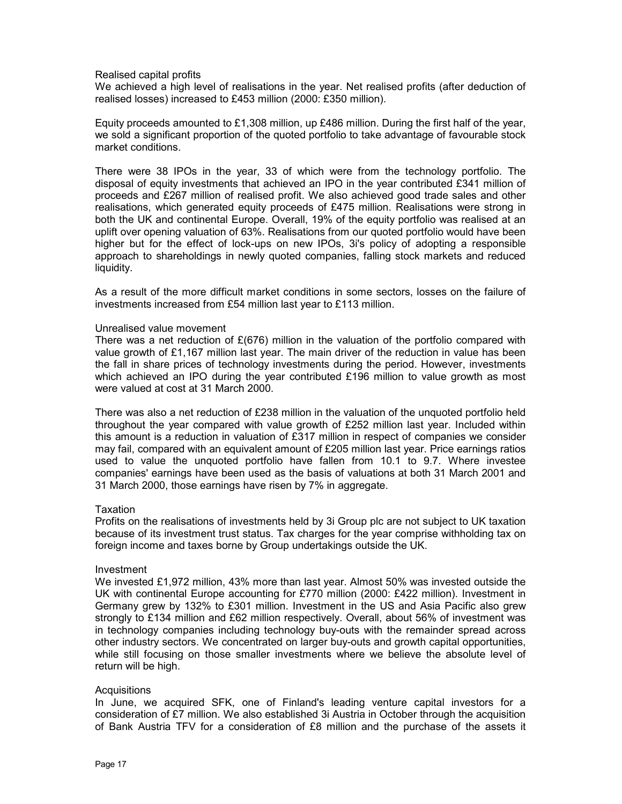#### Realised capital profits

We achieved a high level of realisations in the year. Net realised profits (after deduction of realised losses) increased to £453 million (2000: £350 million).

Equity proceeds amounted to £1,308 million, up £486 million. During the first half of the year, we sold a significant proportion of the quoted portfolio to take advantage of favourable stock market conditions.

There were 38 IPOs in the year, 33 of which were from the technology portfolio. The disposal of equity investments that achieved an IPO in the year contributed £341 million of proceeds and £267 million of realised profit. We also achieved good trade sales and other realisations, which generated equity proceeds of £475 million. Realisations were strong in both the UK and continental Europe. Overall, 19% of the equity portfolio was realised at an uplift over opening valuation of 63%. Realisations from our quoted portfolio would have been higher but for the effect of lock-ups on new IPOs, 3i's policy of adopting a responsible approach to shareholdings in newly quoted companies, falling stock markets and reduced liquidity.

As a result of the more difficult market conditions in some sectors, losses on the failure of investments increased from £54 million last year to £113 million.

#### Unrealised value movement

There was a net reduction of  $E(676)$  million in the valuation of the portfolio compared with value growth of £1,167 million last year. The main driver of the reduction in value has been the fall in share prices of technology investments during the period. However, investments which achieved an IPO during the year contributed £196 million to value growth as most were valued at cost at 31 March 2000.

There was also a net reduction of £238 million in the valuation of the unquoted portfolio held throughout the year compared with value growth of £252 million last year. Included within this amount is a reduction in valuation of £317 million in respect of companies we consider may fail, compared with an equivalent amount of £205 million last year. Price earnings ratios used to value the unquoted portfolio have fallen from 10.1 to 9.7. Where investee companies' earnings have been used as the basis of valuations at both 31 March 2001 and 31 March 2000, those earnings have risen by 7% in aggregate.

## **Taxation**

Profits on the realisations of investments held by 3i Group plc are not subject to UK taxation because of its investment trust status. Tax charges for the year comprise withholding tax on foreign income and taxes borne by Group undertakings outside the UK.

#### Investment

We invested £1,972 million, 43% more than last year. Almost 50% was invested outside the UK with continental Europe accounting for £770 million (2000: £422 million). Investment in Germany grew by 132% to £301 million. Investment in the US and Asia Pacific also grew strongly to £134 million and £62 million respectively. Overall, about 56% of investment was in technology companies including technology buy-outs with the remainder spread across other industry sectors. We concentrated on larger buy-outs and growth capital opportunities, while still focusing on those smaller investments where we believe the absolute level of return will be high.

#### **Acquisitions**

In June, we acquired SFK, one of Finland's leading venture capital investors for a consideration of £7 million. We also established 3i Austria in October through the acquisition of Bank Austria TFV for a consideration of £8 million and the purchase of the assets it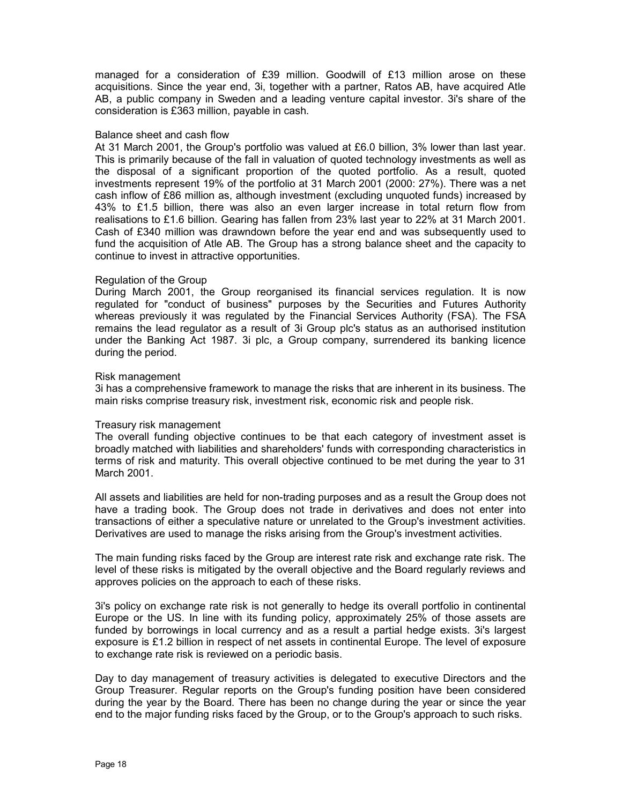managed for a consideration of £39 million. Goodwill of £13 million arose on these acquisitions. Since the year end, 3i, together with a partner, Ratos AB, have acquired Atle AB, a public company in Sweden and a leading venture capital investor. 3i's share of the consideration is £363 million, payable in cash.

#### Balance sheet and cash flow

At 31 March 2001, the Group's portfolio was valued at £6.0 billion, 3% lower than last year. This is primarily because of the fall in valuation of quoted technology investments as well as the disposal of a significant proportion of the quoted portfolio. As a result, quoted investments represent 19% of the portfolio at 31 March 2001 (2000: 27%). There was a net cash inflow of £86 million as, although investment (excluding unquoted funds) increased by 43% to £1.5 billion, there was also an even larger increase in total return flow from realisations to £1.6 billion. Gearing has fallen from 23% last year to 22% at 31 March 2001. Cash of £340 million was drawndown before the year end and was subsequently used to fund the acquisition of Atle AB. The Group has a strong balance sheet and the capacity to continue to invest in attractive opportunities.

## Regulation of the Group

During March 2001, the Group reorganised its financial services regulation. It is now regulated for "conduct of business" purposes by the Securities and Futures Authority whereas previously it was regulated by the Financial Services Authority (FSA). The FSA remains the lead regulator as a result of 3i Group plc's status as an authorised institution under the Banking Act 1987. 3i plc, a Group company, surrendered its banking licence during the period.

#### Risk management

3i has a comprehensive framework to manage the risks that are inherent in its business. The main risks comprise treasury risk, investment risk, economic risk and people risk.

#### Treasury risk management

The overall funding objective continues to be that each category of investment asset is broadly matched with liabilities and shareholders' funds with corresponding characteristics in terms of risk and maturity. This overall objective continued to be met during the year to 31 March 2001.

All assets and liabilities are held for non-trading purposes and as a result the Group does not have a trading book. The Group does not trade in derivatives and does not enter into transactions of either a speculative nature or unrelated to the Group's investment activities. Derivatives are used to manage the risks arising from the Group's investment activities.

The main funding risks faced by the Group are interest rate risk and exchange rate risk. The level of these risks is mitigated by the overall objective and the Board regularly reviews and approves policies on the approach to each of these risks.

3i's policy on exchange rate risk is not generally to hedge its overall portfolio in continental Europe or the US. In line with its funding policy, approximately 25% of those assets are funded by borrowings in local currency and as a result a partial hedge exists. 3i's largest exposure is £1.2 billion in respect of net assets in continental Europe. The level of exposure to exchange rate risk is reviewed on a periodic basis.

Day to day management of treasury activities is delegated to executive Directors and the Group Treasurer. Regular reports on the Group's funding position have been considered during the year by the Board. There has been no change during the year or since the year end to the major funding risks faced by the Group, or to the Group's approach to such risks.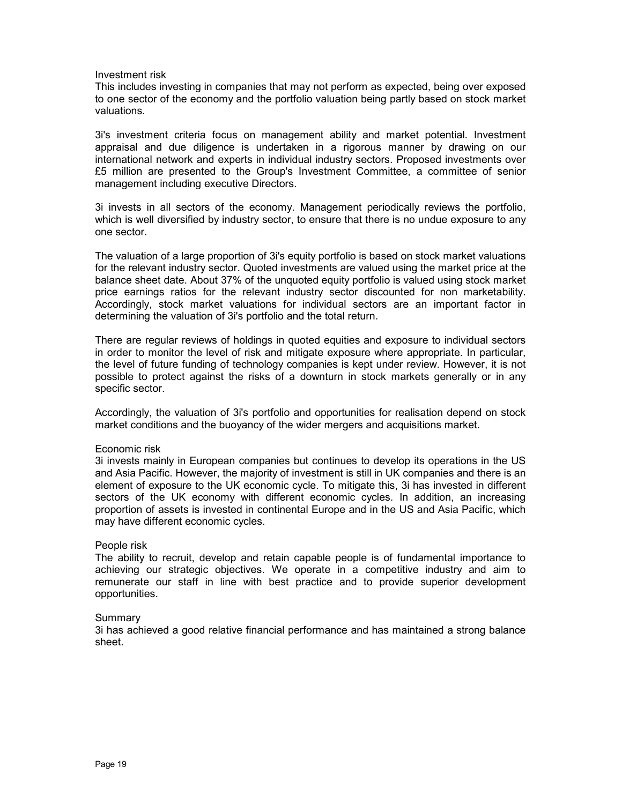## Investment risk

This includes investing in companies that may not perform as expected, being over exposed to one sector of the economy and the portfolio valuation being partly based on stock market valuations.

3i's investment criteria focus on management ability and market potential. Investment appraisal and due diligence is undertaken in a rigorous manner by drawing on our international network and experts in individual industry sectors. Proposed investments over £5 million are presented to the Group's Investment Committee, a committee of senior management including executive Directors.

3i invests in all sectors of the economy. Management periodically reviews the portfolio, which is well diversified by industry sector, to ensure that there is no undue exposure to any one sector.

The valuation of a large proportion of 3i's equity portfolio is based on stock market valuations for the relevant industry sector. Quoted investments are valued using the market price at the balance sheet date. About 37% of the unquoted equity portfolio is valued using stock market price earnings ratios for the relevant industry sector discounted for non marketability. Accordingly, stock market valuations for individual sectors are an important factor in determining the valuation of 3i's portfolio and the total return.

There are regular reviews of holdings in quoted equities and exposure to individual sectors in order to monitor the level of risk and mitigate exposure where appropriate. In particular, the level of future funding of technology companies is kept under review. However, it is not possible to protect against the risks of a downturn in stock markets generally or in any specific sector.

Accordingly, the valuation of 3i's portfolio and opportunities for realisation depend on stock market conditions and the buoyancy of the wider mergers and acquisitions market.

## Economic risk

3i invests mainly in European companies but continues to develop its operations in the US and Asia Pacific. However, the majority of investment is still in UK companies and there is an element of exposure to the UK economic cycle. To mitigate this, 3i has invested in different sectors of the UK economy with different economic cycles. In addition, an increasing proportion of assets is invested in continental Europe and in the US and Asia Pacific, which may have different economic cycles.

#### People risk

The ability to recruit, develop and retain capable people is of fundamental importance to achieving our strategic objectives. We operate in a competitive industry and aim to remunerate our staff in line with best practice and to provide superior development opportunities.

#### Summary

3i has achieved a good relative financial performance and has maintained a strong balance sheet.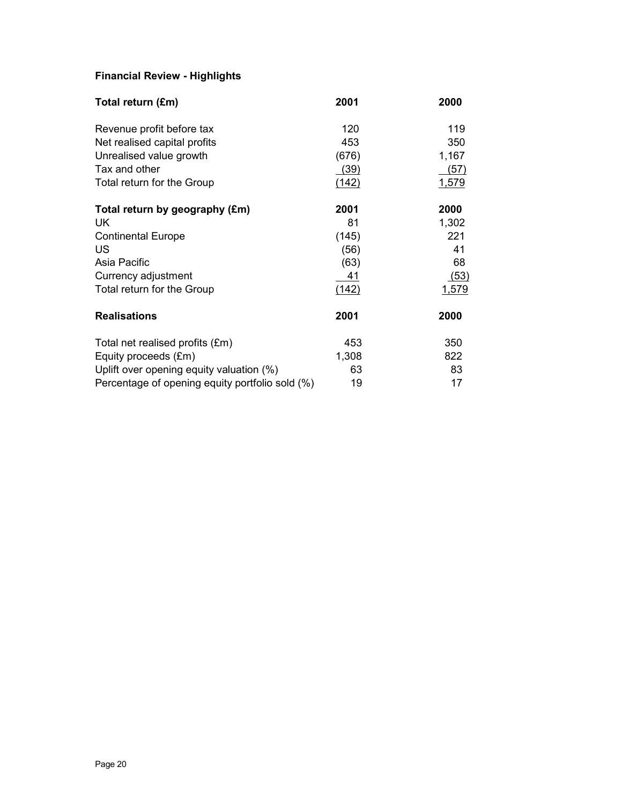## **Financial Review - Highlights**

| Total return (£m)                               | 2001  | 2000  |
|-------------------------------------------------|-------|-------|
| Revenue profit before tax                       | 120   | 119   |
| Net realised capital profits                    | 453   | 350   |
| Unrealised value growth                         | (676) | 1,167 |
| Tax and other                                   | (39)  | (57)  |
| Total return for the Group                      | (142) | 1,579 |
| Total return by geography (£m)                  | 2001  | 2000  |
| UK                                              | 81    | 1,302 |
| <b>Continental Europe</b>                       | (145) | 221   |
| US                                              | (56)  | 41    |
| Asia Pacific                                    | (63)  | 68    |
| Currency adjustment                             | 41    | (53)  |
| Total return for the Group                      | (142) | 1,579 |
| <b>Realisations</b>                             | 2001  | 2000  |
| Total net realised profits (£m)                 | 453   | 350   |
| Equity proceeds (£m)                            | 1,308 | 822   |
| Uplift over opening equity valuation (%)        | 63    | 83    |
| Percentage of opening equity portfolio sold (%) | 19    | 17    |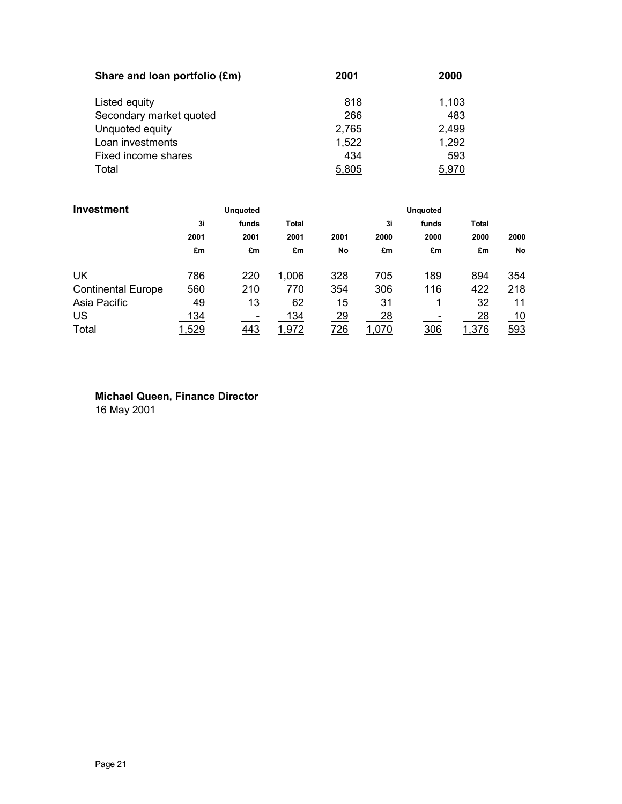| Share and Ioan portfolio (£m) | 2001  | 2000  |
|-------------------------------|-------|-------|
| Listed equity                 | 818   | 1,103 |
| Secondary market quoted       | 266   | 483   |
| Unquoted equity               | 2,765 | 2,499 |
| Loan investments              | 1,522 | 1,292 |
| Fixed income shares           | 434   | 593   |
| Total                         | 5,805 | 5,970 |

| Investment                |       | <b>Unquoted</b> |              |           |       | <b>Unquoted</b> |              |      |
|---------------------------|-------|-----------------|--------------|-----------|-------|-----------------|--------------|------|
|                           | 3i    | funds           | <b>Total</b> |           | 3i    | funds           | <b>Total</b> |      |
|                           | 2001  | 2001            | 2001         | 2001      | 2000  | 2000            | 2000         | 2000 |
|                           | £m    | £m              | £m           | No        | £m    | £m              | £m           | No   |
| UK                        | 786   | 220             | 1,006        | 328       | 705   | 189             | 894          | 354  |
| <b>Continental Europe</b> | 560   | 210             | 770          | 354       | 306   | 116             | 422          | 218  |
| Asia Pacific              | 49    | 13              | 62           | 15        | 31    | 1               | 32           | 11   |
| <b>US</b>                 | 134   |                 | 134          | <u>29</u> | 28    |                 | 28           | 10   |
| Total                     | 1,529 | 443             | 1,972        | 726       | 1,070 | 306             | 1,376        | 593  |

**Michael Queen, Finance Director** 16 May 2001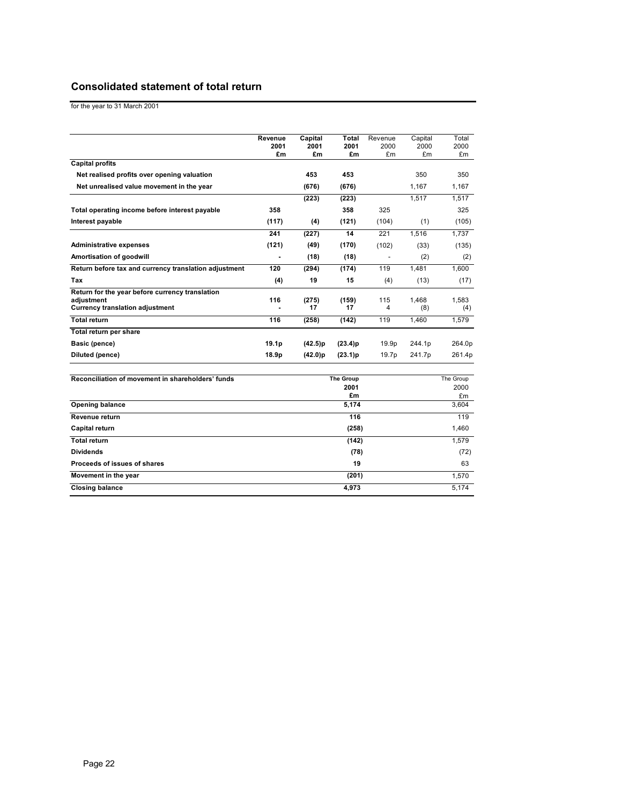## **Consolidated statement of total return**

for the year to 31 March 2001

|                                                               | Revenue           | Capital    | Total                    | Revenue    | Capital    | Total             |
|---------------------------------------------------------------|-------------------|------------|--------------------------|------------|------------|-------------------|
|                                                               | 2001<br>£m        | 2001<br>£m | 2001<br>£m               | 2000<br>£m | 2000<br>£m | 2000<br>£m        |
| <b>Capital profits</b>                                        |                   |            |                          |            |            |                   |
| Net realised profits over opening valuation                   |                   | 453        | 453                      |            | 350        | 350               |
| Net unrealised value movement in the year                     |                   | (676)      | (676)                    |            | 1,167      | 1,167             |
|                                                               |                   | (223)      | (223)                    |            | 1,517      | 1,517             |
| Total operating income before interest payable                | 358               |            | 358                      | 325        |            | 325               |
| Interest payable                                              | (117)             | (4)        | (121)                    | (104)      | (1)        | (105)             |
|                                                               | 241               | (227)      | 14                       | 221        | 1,516      | 1,737             |
| <b>Administrative expenses</b>                                | (121)             | (49)       | (170)                    | (102)      | (33)       | (135)             |
| Amortisation of goodwill                                      |                   | (18)       | (18)                     |            | (2)        | (2)               |
| Return before tax and currency translation adjustment         | 120               | (294)      | (174)                    | 119        | 1,481      | 1.600             |
| Tax                                                           | (4)               | 19         | 15                       | (4)        | (13)       | (17)              |
| Return for the year before currency translation<br>adjustment | 116               | (275)      | (159)                    | 115        | 1,468      | 1.583             |
| <b>Currency translation adjustment</b>                        |                   | 17         | 17                       | 4          | (8)        | (4)               |
| <b>Total return</b>                                           | 116               | (258)      | (142)                    | 119        | 1,460      | 1,579             |
| Total return per share                                        |                   |            |                          |            |            |                   |
| Basic (pence)                                                 | 19.1 <sub>p</sub> | (42.5)p    | (23.4)p                  | 19.9p      | 244.1p     | 264.0p            |
| <b>Diluted (pence)</b>                                        | 18.9p             | (42.0)p    | (23.1)p                  | 19.7p      | 241.7p     | 261.4p            |
| Reconciliation of movement in shareholders' funds             |                   |            | <b>The Group</b><br>2001 |            |            | The Group<br>2000 |
| <b>Opening balance</b>                                        |                   |            | £m<br>5,174              |            |            | £m<br>3,604       |
| Revenue return                                                |                   |            | 116                      |            |            | 119               |
|                                                               |                   |            |                          |            |            |                   |
| Capital return<br><b>Total return</b>                         |                   |            | (258)                    |            |            | 1,460             |
|                                                               |                   |            | (142)                    |            |            | 1,579             |
| <b>Dividends</b>                                              |                   |            | (78)                     |            |            | (72)              |
| Proceeds of issues of shares                                  |                   |            | 19                       |            |            | 63                |
| Movement in the year                                          |                   |            | (201)                    |            |            | 1,570             |
| <b>Closing balance</b>                                        |                   |            | 4,973                    |            |            | 5,174             |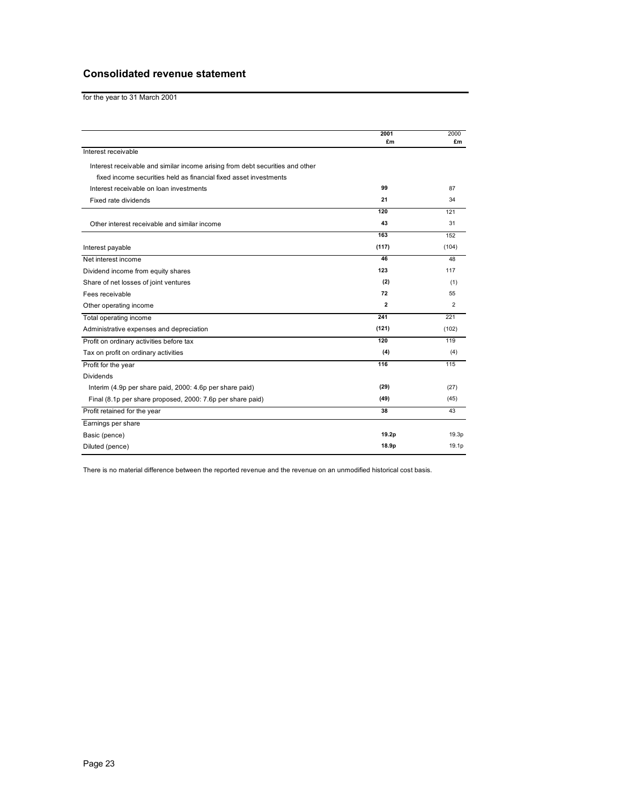## **Consolidated revenue statement**

for the year to 31 March 2001

|                                                                               | 2001         | 2000              |
|-------------------------------------------------------------------------------|--------------|-------------------|
|                                                                               | £m           | £m                |
| Interest receivable                                                           |              |                   |
| Interest receivable and similar income arising from debt securities and other |              |                   |
| fixed income securities held as financial fixed asset investments             |              |                   |
| Interest receivable on loan investments                                       | 99           | 87                |
| Fixed rate dividends                                                          | 21           | 34                |
|                                                                               | 120          | 121               |
| Other interest receivable and similar income                                  | 43           | 31                |
|                                                                               | 163          | 152               |
| Interest payable                                                              | (117)        | (104)             |
| Net interest income                                                           | 46           | 48                |
| Dividend income from equity shares                                            | 123          | 117               |
| Share of net losses of joint ventures                                         | (2)          | (1)               |
| Fees receivable                                                               | 72           | 55                |
| Other operating income                                                        | $\mathbf{2}$ | $\overline{2}$    |
| Total operating income                                                        | 241          | 221               |
| Administrative expenses and depreciation                                      | (121)        | (102)             |
| Profit on ordinary activities before tax                                      | 120          | 119               |
| Tax on profit on ordinary activities                                          | (4)          | (4)               |
| Profit for the year                                                           | 116          | 115               |
| <b>Dividends</b>                                                              |              |                   |
| Interim (4.9p per share paid, 2000: 4.6p per share paid)                      | (29)         | (27)              |
| Final (8.1p per share proposed, 2000: 7.6p per share paid)                    | (49)         | (45)              |
| Profit retained for the year                                                  | 38           | 43                |
| Earnings per share                                                            |              |                   |
| Basic (pence)                                                                 | 19.2p        | 19.3 <sub>p</sub> |
| Diluted (pence)                                                               | 18.9p        | 19.1 <sub>p</sub> |

There is no material difference between the reported revenue and the revenue on an unmodified historical cost basis.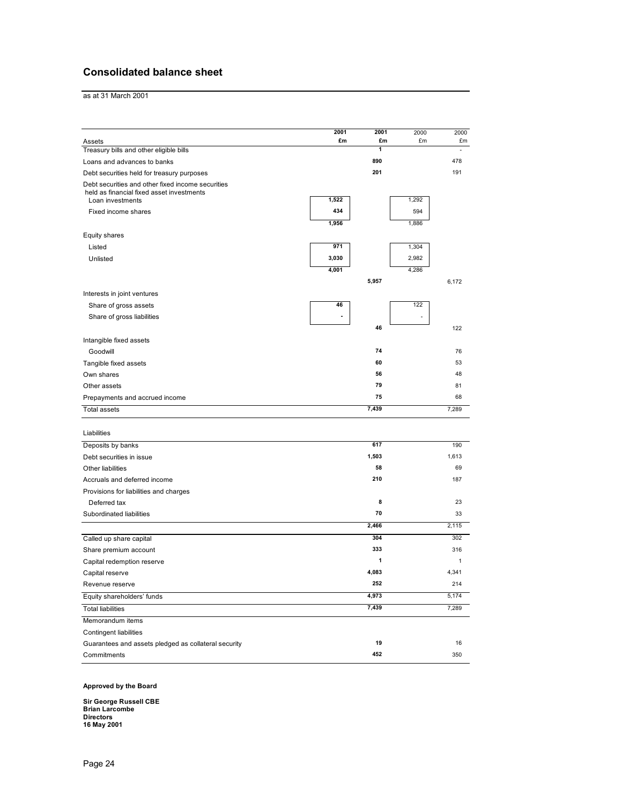## **Consolidated balance sheet**

as at 31 March 2001

|                                                                                                | 2001  | 2001    | 2000  | 2000         |
|------------------------------------------------------------------------------------------------|-------|---------|-------|--------------|
| Assets                                                                                         | £m    | £m<br>1 | £m    | £m           |
| Treasury bills and other eligible bills                                                        |       |         |       |              |
| Loans and advances to banks                                                                    |       | 890     |       | 478          |
| Debt securities held for treasury purposes                                                     |       | 201     |       | 191          |
| Debt securities and other fixed income securities<br>held as financial fixed asset investments |       |         |       |              |
| Loan investments                                                                               | 1,522 |         | 1,292 |              |
| Fixed income shares                                                                            | 434   |         | 594   |              |
|                                                                                                | 1,956 |         | 1,886 |              |
| Equity shares                                                                                  |       |         |       |              |
| Listed                                                                                         | 971   |         | 1,304 |              |
| Unlisted                                                                                       | 3,030 |         | 2,982 |              |
|                                                                                                | 4,001 |         | 4,286 |              |
|                                                                                                |       | 5,957   |       | 6,172        |
| Interests in joint ventures                                                                    |       |         |       |              |
| Share of gross assets                                                                          | 46    |         | 122   |              |
| Share of gross liabilities                                                                     |       |         |       |              |
|                                                                                                |       | 46      |       | 122          |
| Intangible fixed assets                                                                        |       |         |       |              |
| Goodwill                                                                                       |       | 74      |       | 76           |
|                                                                                                |       | 60      |       | 53           |
| Tangible fixed assets                                                                          |       | 56      |       | 48           |
| Own shares                                                                                     |       | 79      |       | 81           |
| Other assets                                                                                   |       | 75      |       | 68           |
| Prepayments and accrued income                                                                 |       |         |       |              |
| Total assets                                                                                   |       | 7,439   |       | 7,289        |
|                                                                                                |       |         |       |              |
| Liabilities                                                                                    |       |         |       |              |
| Deposits by banks                                                                              |       | 617     |       | 190          |
| Debt securities in issue                                                                       |       | 1,503   |       | 1,613        |
| Other liabilities                                                                              |       | 58      |       | 69           |
| Accruals and deferred income                                                                   |       | 210     |       | 187          |
| Provisions for liabilities and charges                                                         |       |         |       |              |
| Deferred tax                                                                                   |       | 8       |       | 23           |
| Subordinated liabilities                                                                       |       | 70      |       | 33           |
|                                                                                                |       | 2,466   |       | 2,115        |
| Called up share capital                                                                        |       | 304     |       | 302          |
| Share premium account                                                                          |       | 333     |       | 316          |
| Capital redemption reserve                                                                     |       | 1       |       | $\mathbf{1}$ |
| Capital reserve                                                                                |       | 4,083   |       | 4,341        |
| Revenue reserve                                                                                |       | 252     |       | 214          |
| Equity shareholders' funds                                                                     |       | 4,973   |       | 5,174        |
| <b>Total liabilities</b>                                                                       |       | 7,439   |       | 7,289        |
| Memorandum items                                                                               |       |         |       |              |
| <b>Contingent liabilities</b>                                                                  |       |         |       |              |
| Guarantees and assets pledged as collateral security                                           |       | 19      |       | 16           |
| Commitments                                                                                    |       | 452     |       | 350          |
|                                                                                                |       |         |       |              |

**Approved by the Board** 

**Sir George Russell CBE Brian Larcombe Directors 16 May 2001**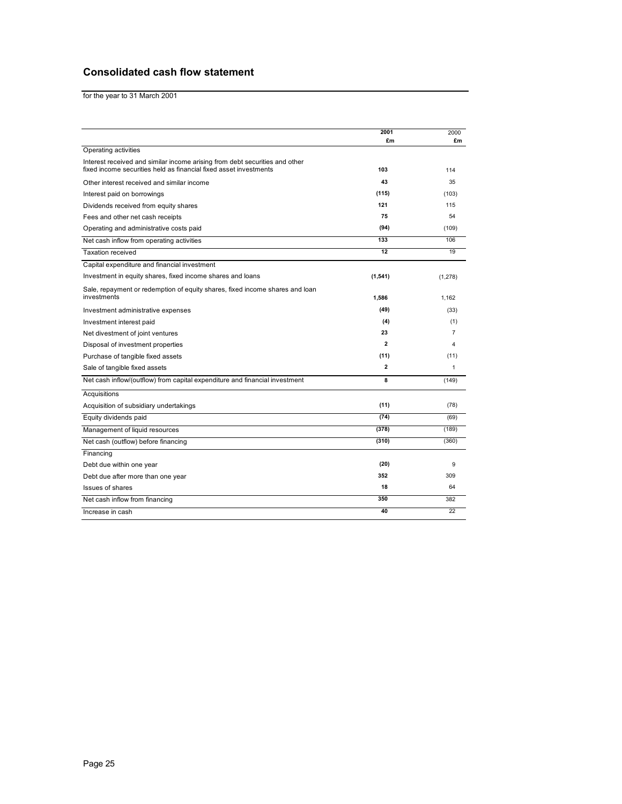## **Consolidated cash flow statement**

for the year to 31 March 2001

|                                                                                                                                                  | 2001           | 2000           |
|--------------------------------------------------------------------------------------------------------------------------------------------------|----------------|----------------|
|                                                                                                                                                  | £m             | £m             |
| Operating activities                                                                                                                             |                |                |
| Interest received and similar income arising from debt securities and other<br>fixed income securities held as financial fixed asset investments | 103            | 114            |
| Other interest received and similar income                                                                                                       | 43             | 35             |
| Interest paid on borrowings                                                                                                                      | (115)          | (103)          |
| Dividends received from equity shares                                                                                                            | 121            | 115            |
| Fees and other net cash receipts                                                                                                                 | 75             | 54             |
| Operating and administrative costs paid                                                                                                          | (94)           | (109)          |
| Net cash inflow from operating activities                                                                                                        | 133            | 106            |
| <b>Taxation received</b>                                                                                                                         | 12             | 19             |
| Capital expenditure and financial investment                                                                                                     |                |                |
| Investment in equity shares, fixed income shares and loans                                                                                       | (1, 541)       | (1, 278)       |
| Sale, repayment or redemption of equity shares, fixed income shares and loan                                                                     |                |                |
| investments                                                                                                                                      | 1,586          | 1.162          |
| Investment administrative expenses                                                                                                               | (49)           | (33)           |
| Investment interest paid                                                                                                                         | (4)            | (1)            |
| Net divestment of joint ventures                                                                                                                 | 23             | $\overline{7}$ |
| Disposal of investment properties                                                                                                                | $\overline{2}$ | 4              |
| Purchase of tangible fixed assets                                                                                                                | (11)           | (11)           |
| Sale of tangible fixed assets                                                                                                                    | $\overline{2}$ | 1              |
| Net cash inflow/(outflow) from capital expenditure and financial investment                                                                      | 8              | (149)          |
| Acquisitions                                                                                                                                     |                |                |
| Acquisition of subsidiary undertakings                                                                                                           | (11)           | (78)           |
| Equity dividends paid                                                                                                                            | (74)           | (69)           |
| Management of liquid resources                                                                                                                   | (378)          | (189)          |
| Net cash (outflow) before financing                                                                                                              | (310)          | (360)          |
| Financing                                                                                                                                        |                |                |
| Debt due within one year                                                                                                                         | (20)           | 9              |
| Debt due after more than one year                                                                                                                | 352            | 309            |
| <b>Issues of shares</b>                                                                                                                          | 18             | 64             |
| Net cash inflow from financing                                                                                                                   | 350            | 382            |
| Increase in cash                                                                                                                                 | 40             | 22             |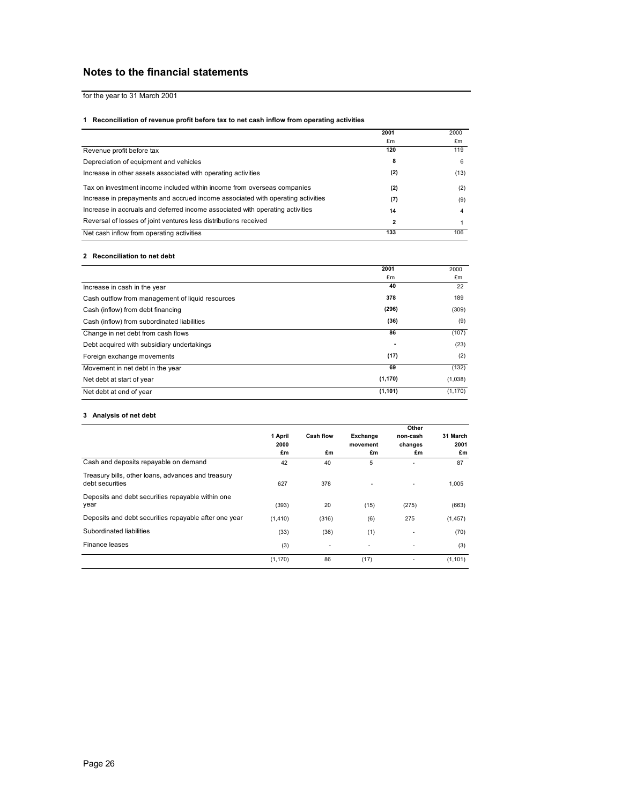## **Notes to the financial statements**

for the year to 31 March 2001

#### **1 Reconciliation of revenue profit before tax to net cash inflow from operating activities**

|                                                                                 | 2001 | 2000 |
|---------------------------------------------------------------------------------|------|------|
|                                                                                 | £m   | £m   |
| Revenue profit before tax                                                       | 120  | 119  |
| Depreciation of equipment and vehicles                                          | 8    | 6    |
| Increase in other assets associated with operating activities                   | (2)  | (13) |
| Tax on investment income included within income from overseas companies         | (2)  | (2)  |
| Increase in prepayments and accrued income associated with operating activities | (7)  | (9)  |
| Increase in accruals and deferred income associated with operating activities   | 14   | 4    |
| Reversal of losses of joint ventures less distributions received                | 2    |      |
| Net cash inflow from operating activities                                       | 133  | 106  |

#### **2 Reconciliation to net debt**

|                                                  | 2001     | 2000     |
|--------------------------------------------------|----------|----------|
|                                                  | £m       | £m       |
| Increase in cash in the year                     | 40       | 22       |
| Cash outflow from management of liquid resources | 378      | 189      |
| Cash (inflow) from debt financing                | (296)    | (309)    |
| Cash (inflow) from subordinated liabilities      | (36)     | (9)      |
| Change in net debt from cash flows               | 86       | (107)    |
| Debt acquired with subsidiary undertakings       | ٠        | (23)     |
| Foreign exchange movements                       | (17)     | (2)      |
| Movement in net debt in the year                 | 69       | (132)    |
| Net debt at start of year                        | (1, 170) | (1,038)  |
| Net debt at end of year                          | (1, 101) | (1, 170) |

#### **3 Analysis of net debt**

|                                                                       |          |                  |          | Other    | 31 March |      |
|-----------------------------------------------------------------------|----------|------------------|----------|----------|----------|------|
|                                                                       | 1 April  | <b>Cash flow</b> | Exchange | non-cash |          |      |
|                                                                       | 2000     |                  |          | movement | changes  | 2001 |
|                                                                       | £m       | £m               | £m       | £m       | £m       |      |
| Cash and deposits repayable on demand                                 | 42       | 40               | 5        | ٠        | 87       |      |
| Treasury bills, other loans, advances and treasury<br>debt securities | 627      | 378              |          |          | 1,005    |      |
| Deposits and debt securities repayable within one<br>year             | (393)    | 20               | (15)     | (275)    | (663)    |      |
| Deposits and debt securities repayable after one year                 | (1, 410) | (316)            | (6)      | 275      | (1, 457) |      |
| Subordinated liabilities                                              | (33)     | (36)             | (1)      | ٠        | (70)     |      |
| Finance leases                                                        | (3)      | ٠                | ٠        | ٠        | (3)      |      |
|                                                                       | (1, 170) | 86               | (17)     | ٠        | (1, 101) |      |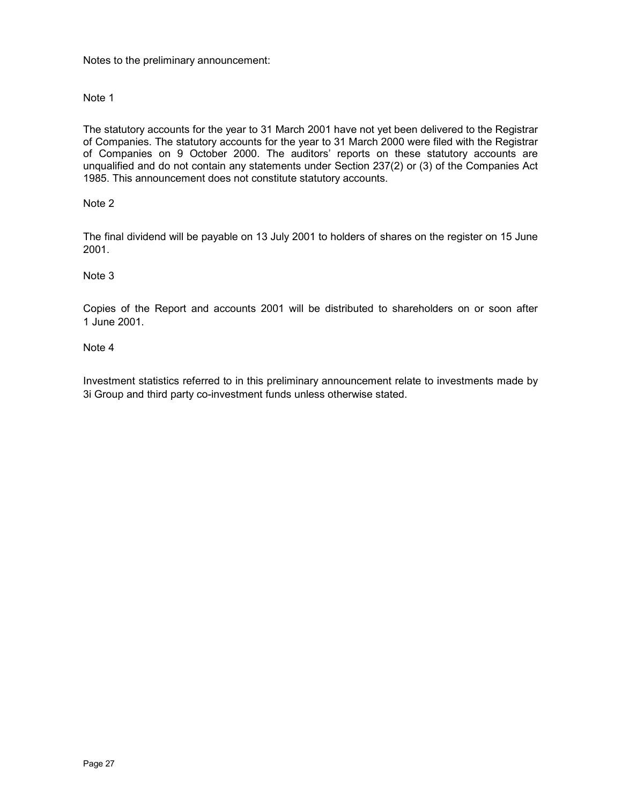Notes to the preliminary announcement:

## Note 1

The statutory accounts for the year to 31 March 2001 have not yet been delivered to the Registrar of Companies. The statutory accounts for the year to 31 March 2000 were filed with the Registrar of Companies on 9 October 2000. The auditors' reports on these statutory accounts are unqualified and do not contain any statements under Section 237(2) or (3) of the Companies Act 1985. This announcement does not constitute statutory accounts.

## Note 2

The final dividend will be payable on 13 July 2001 to holders of shares on the register on 15 June 2001.

## Note 3

Copies of the Report and accounts 2001 will be distributed to shareholders on or soon after 1 June 2001.

## Note 4

Investment statistics referred to in this preliminary announcement relate to investments made by 3i Group and third party co-investment funds unless otherwise stated.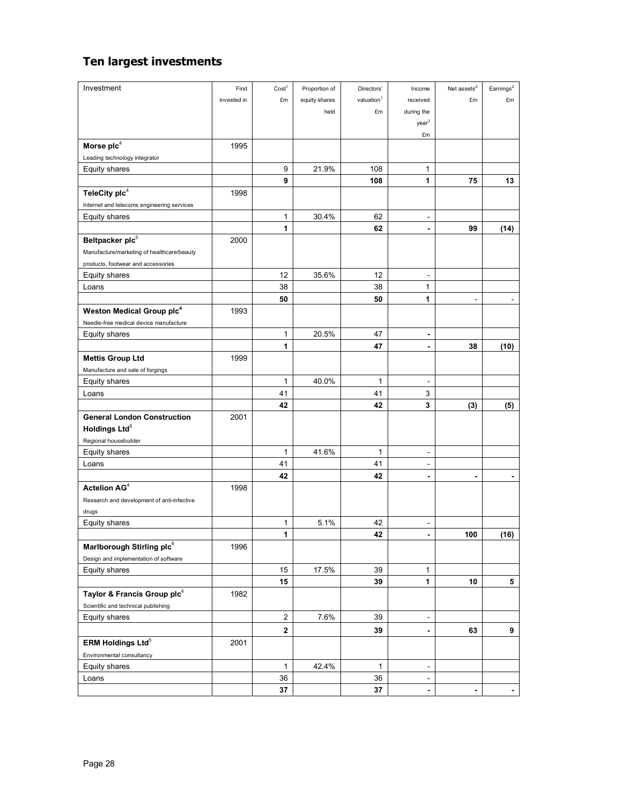## **Ten largest investments**

| Investment                                 | First       | Cost <sup>1</sup>       | Proportion of | Directors'             | Income                       | Net assets ${}^{2}$      | Earnings <sup>2</sup>        |
|--------------------------------------------|-------------|-------------------------|---------------|------------------------|------------------------------|--------------------------|------------------------------|
|                                            | invested in | £m                      | equity shares | valuation <sup>1</sup> | received                     | £m                       | £m                           |
|                                            |             |                         | held          | £m                     | during the                   |                          |                              |
|                                            |             |                         |               |                        | year <sup>3</sup>            |                          |                              |
|                                            |             |                         |               |                        | £m                           |                          |                              |
| Morse plc <sup>4</sup>                     | 1995        |                         |               |                        |                              |                          |                              |
| Leading technology integrator              |             |                         |               |                        |                              |                          |                              |
| Equity shares                              |             | 9                       | 21.9%         | 108                    | 1                            |                          |                              |
|                                            |             | 9                       |               | 108                    | 1                            | 75                       | 13                           |
| TeleCity plc4                              | 1998        |                         |               |                        |                              |                          |                              |
| Internet and telecoms engineering services |             |                         |               |                        |                              |                          |                              |
| Equity shares                              |             | 1                       | 30.4%         | 62                     | $\blacksquare$               |                          |                              |
|                                            |             | 1                       |               | 62                     | $\blacksquare$               | 99                       | (14)                         |
| Beltpacker plc <sup>5</sup>                | 2000        |                         |               |                        |                              |                          |                              |
| Manufacture/marketing of healthcare/beauty |             |                         |               |                        |                              |                          |                              |
| products, footwear and accessories         |             |                         |               |                        |                              |                          |                              |
| <b>Equity shares</b>                       |             | 12                      | 35.6%         | 12                     |                              |                          |                              |
| Loans                                      |             | 38                      |               | 38                     | 1                            |                          |                              |
|                                            |             | 50                      |               | 50                     | 1                            |                          |                              |
| Weston Medical Group plc <sup>4</sup>      | 1993        |                         |               |                        |                              |                          |                              |
| Needle-free medical device manufacture     |             |                         |               |                        |                              |                          |                              |
| Equity shares                              |             | 1                       | 20.5%         | 47                     | $\qquad \qquad \blacksquare$ |                          |                              |
|                                            |             | 1                       |               | 47                     | $\qquad \qquad \blacksquare$ | 38                       | (10)                         |
| <b>Mettis Group Ltd</b>                    | 1999        |                         |               |                        |                              |                          |                              |
| Manufacture and sale of forgings           |             |                         |               |                        |                              |                          |                              |
| Equity shares                              |             | 1                       | 40.0%         | 1                      | ÷,                           |                          |                              |
| Loans                                      |             | 41                      |               | 41                     | 3                            |                          |                              |
|                                            |             | 42                      |               | 42                     | 3                            | (3)                      | (5)                          |
| <b>General London Construction</b>         | 2001        |                         |               |                        |                              |                          |                              |
| Holdings Ltd <sup>5</sup>                  |             |                         |               |                        |                              |                          |                              |
| Regional housebuilder                      |             |                         |               |                        |                              |                          |                              |
| Equity shares                              |             | 1                       | 41.6%         | 1                      | ÷,                           |                          |                              |
| Loans                                      |             | 41                      |               | 41                     |                              |                          |                              |
|                                            |             | 42                      |               | 42                     |                              |                          |                              |
| Actelion AG <sup>4</sup>                   | 1998        |                         |               |                        |                              |                          |                              |
| Research and development of anti-infective |             |                         |               |                        |                              |                          |                              |
| drugs                                      |             |                         |               |                        |                              |                          |                              |
| Equity shares                              |             | 1                       | 5.1%          | 42                     | $\blacksquare$               |                          |                              |
|                                            |             | 1                       |               | 42                     |                              | 100                      | (16)                         |
| Marlborough Stirling plc6                  | 1996        |                         |               |                        |                              |                          |                              |
| Design and implementation of software      |             |                         |               |                        |                              |                          |                              |
| Equity shares                              |             | 15                      | 17.5%         | 39                     | 1                            |                          |                              |
|                                            |             | 15                      |               | 39                     | 1                            | 10                       | 5                            |
| Taylor & Francis Group plc <sup>4</sup>    | 1982        |                         |               |                        |                              |                          |                              |
| Scientific and technical publishing        |             |                         |               |                        |                              |                          |                              |
| Equity shares                              |             | 2                       | 7.6%          | 39                     | $\overline{\phantom{m}}$     |                          |                              |
|                                            |             | $\overline{\mathbf{2}}$ |               | 39                     | $\blacksquare$               | 63                       | 9                            |
| ERM Holdings Ltd <sup>5</sup>              | 2001        |                         |               |                        |                              |                          |                              |
| Environmental consultancy                  |             |                         |               |                        |                              |                          |                              |
| Equity shares                              |             | 1                       | 42.4%         | 1                      | $\overline{\phantom{a}}$     |                          |                              |
| Loans                                      |             | 36                      |               | 36                     | $\overline{\phantom{a}}$     |                          |                              |
|                                            |             | 37                      |               | 37                     | $\overline{\phantom{a}}$     | $\overline{\phantom{a}}$ | $\qquad \qquad \blacksquare$ |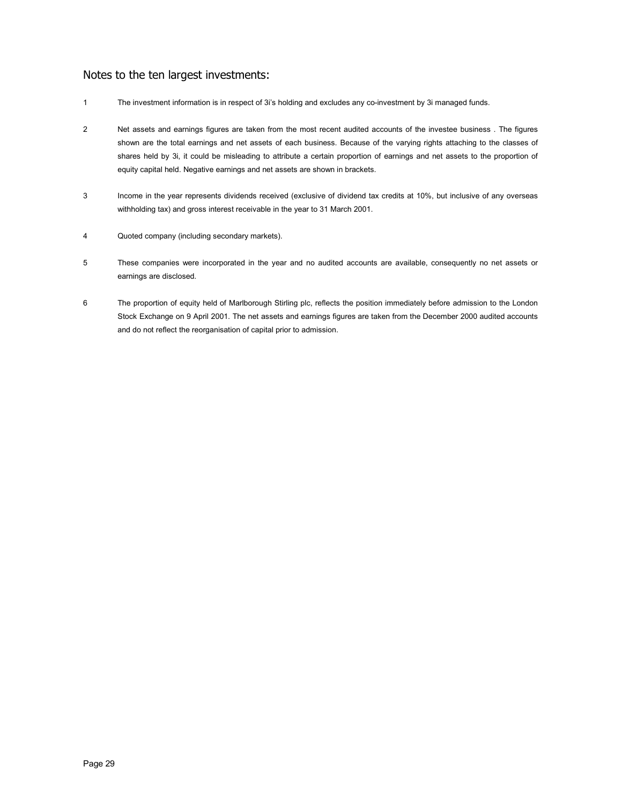## Notes to the ten largest investments:

- 1 The investment information is in respect of 3i's holding and excludes any co-investment by 3i managed funds.
- 2 Net assets and earnings figures are taken from the most recent audited accounts of the investee business . The figures shown are the total earnings and net assets of each business. Because of the varying rights attaching to the classes of shares held by 3i, it could be misleading to attribute a certain proportion of earnings and net assets to the proportion of equity capital held. Negative earnings and net assets are shown in brackets.
- 3 Income in the year represents dividends received (exclusive of dividend tax credits at 10%, but inclusive of any overseas withholding tax) and gross interest receivable in the year to 31 March 2001.
- 4 Quoted company (including secondary markets).
- 5 These companies were incorporated in the year and no audited accounts are available, consequently no net assets or earnings are disclosed.
- 6 The proportion of equity held of Marlborough Stirling plc, reflects the position immediately before admission to the London Stock Exchange on 9 April 2001. The net assets and earnings figures are taken from the December 2000 audited accounts and do not reflect the reorganisation of capital prior to admission.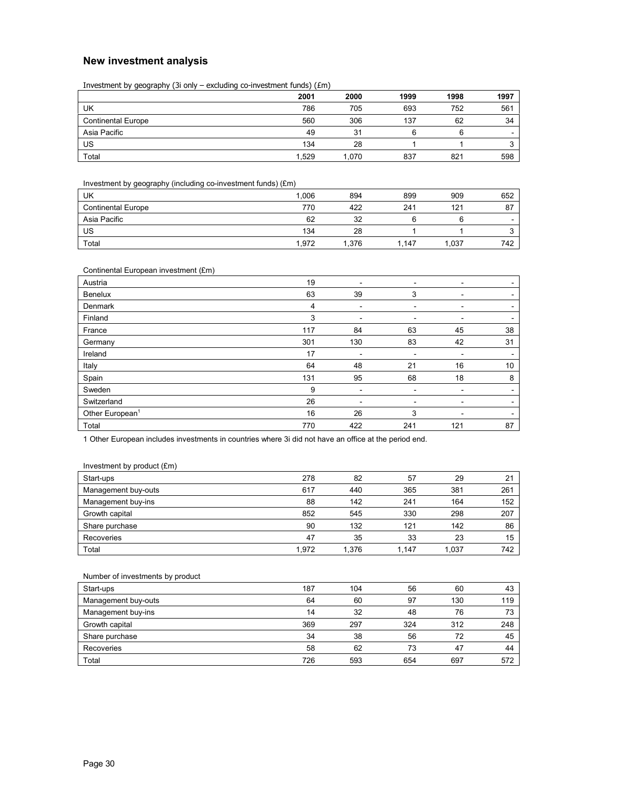## **New investment analysis**

Investment by geography (3i only – excluding co-investment funds) (£m)

|                           | 2001  | 2000  | 1999 | 1998 | 1997                     |
|---------------------------|-------|-------|------|------|--------------------------|
| UK                        | 786   | 705   | 693  | 752  | 561                      |
| <b>Continental Europe</b> | 560   | 306   | 137  | 62   | 34                       |
| Asia Pacific              | 49    | 31    | ี    | 6    | $\overline{\phantom{0}}$ |
| US                        | 134   | 28    |      |      |                          |
| Total                     | 1.529 | 1.070 | 837  | 821  | 598                      |

Investment by geography (including co-investment funds) (£m)

| UK                        | 1.006 | 894   | 899 | 909  | 652                      |
|---------------------------|-------|-------|-----|------|--------------------------|
| <b>Continental Europe</b> | 770   | 422   | 241 | 121  | 87                       |
| Asia Pacific              | 62    | 32    |     |      | $\overline{\phantom{0}}$ |
| US                        | 134   | 28    |     |      |                          |
| Total                     | 1.972 | 1.376 | 147 | .037 | 742                      |

|  | Continental European investment (£m) |  |
|--|--------------------------------------|--|
|  |                                      |  |

| Austria                     | 19  | ۰                        | ٠   | ۰   |                          |
|-----------------------------|-----|--------------------------|-----|-----|--------------------------|
| Benelux                     | 63  | 39                       | 3   | ۰   | $\overline{\phantom{0}}$ |
| Denmark                     | 4   | $\overline{\phantom{a}}$ | ٠   | ۰   | $\overline{\phantom{0}}$ |
| Finland                     | 3   |                          | -   |     |                          |
| France                      | 117 | 84                       | 63  | 45  | 38                       |
| Germany                     | 301 | 130                      | 83  | 42  | 31                       |
| Ireland                     | 17  | ۰                        | ٠   | ۰   | $\overline{\phantom{a}}$ |
| Italy                       | 64  | 48                       | 21  | 16  | 10                       |
| Spain                       | 131 | 95                       | 68  | 18  | 8                        |
| Sweden                      | 9   | ۰                        | -   | -   | $\overline{\phantom{a}}$ |
| Switzerland                 | 26  |                          | -   | -   |                          |
| Other European <sup>1</sup> | 16  | 26                       | 3   | -   |                          |
| Total                       | 770 | 422                      | 241 | 121 | 87                       |

1 Other European includes investments in countries where 3i did not have an office at the period end.

| Start-ups           | 278   | 82    | 57    | 29    | 21  |
|---------------------|-------|-------|-------|-------|-----|
| Management buy-outs | 617   | 440   | 365   | 381   | 261 |
| Management buy-ins  | 88    | 142   | 241   | 164   | 152 |
| Growth capital      | 852   | 545   | 330   | 298   | 207 |
| Share purchase      | 90    | 132   | 121   | 142   | 86  |
| Recoveries          | 47    | 35    | 33    | 23    | 15  |
| Total               | 1.972 | 1.376 | 1.147 | 1.037 | 742 |

| Number of investments by product |     |     |     |     |     |
|----------------------------------|-----|-----|-----|-----|-----|
| Start-ups                        | 187 | 104 | 56  | 60  | 43  |
| Management buy-outs              | 64  | 60  | 97  | 130 | 119 |
| Management buy-ins               | 14  | 32  | 48  | 76  | 73  |
| Growth capital                   | 369 | 297 | 324 | 312 | 248 |
| Share purchase                   | 34  | 38  | 56  | 72  | 45  |
| Recoveries                       | 58  | 62  | 73  | 47  | 44  |
| Total                            | 726 | 593 | 654 | 697 | 572 |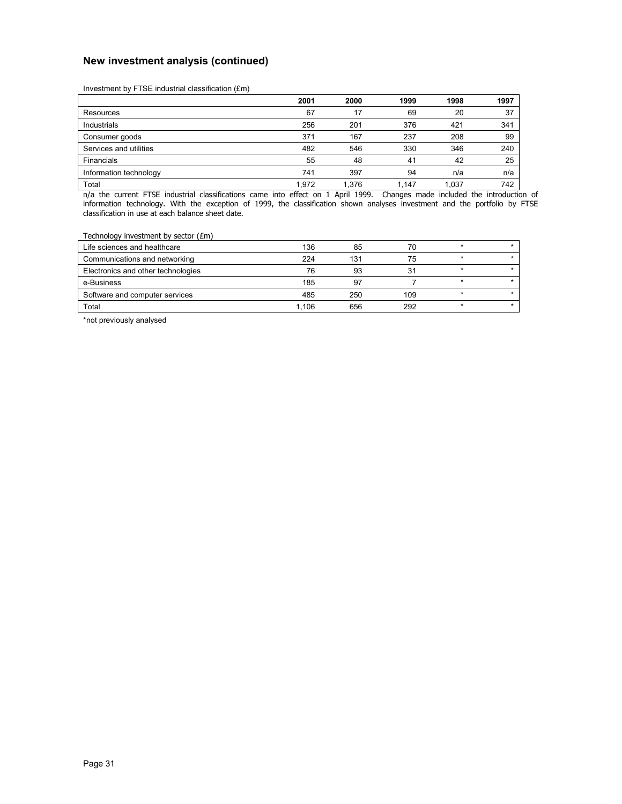## **New investment analysis (continued)**

Investment by FTSE industrial classification (£m)

|                        | 2001  | 2000  | 1999  | 1998  | 1997 |
|------------------------|-------|-------|-------|-------|------|
| Resources              | 67    | 17    | 69    | 20    | 37   |
| Industrials            | 256   | 201   | 376   | 421   | 341  |
| Consumer goods         | 371   | 167   | 237   | 208   | 99   |
| Services and utilities | 482   | 546   | 330   | 346   | 240  |
| Financials             | 55    | 48    | 41    | 42    | 25   |
| Information technology | 741   | 397   | 94    | n/a   | n/a  |
| Total                  | 1.972 | 1.376 | 1.147 | 1.037 | 742  |

n/a the current FTSE industrial classifications came into effect on 1 April 1999. Changes made included the introduction of information technology. With the exception of 1999, the classification shown analyses investment and the portfolio by FTSE classification in use at each balance sheet date.

#### Technology investment by sector  $(fm)$

| Life sciences and healthcare       | 136   | 85  | 70  |  |
|------------------------------------|-------|-----|-----|--|
| Communications and networking      | 224   | 131 | 75  |  |
| Electronics and other technologies | 76    | 93  | 31  |  |
| e-Business                         | 185   | 97  |     |  |
| Software and computer services     | 485   | 250 | 109 |  |
| Total                              | l.106 | 656 | 292 |  |

\*not previously analysed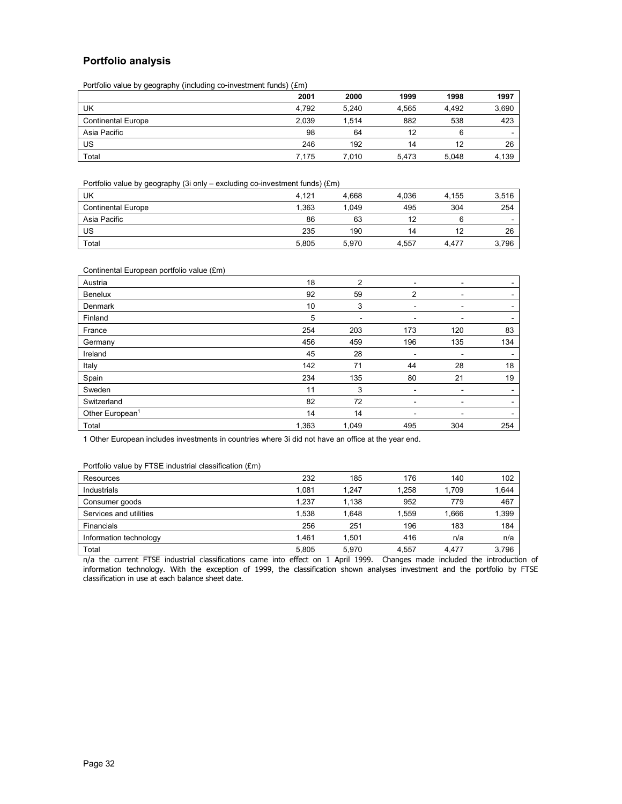## **Portfolio analysis**

Portfolio value by geography (including co-investment funds) (£m)

|                           | 2001  | 2000  | 1999  | 1998  | 1997  |
|---------------------------|-------|-------|-------|-------|-------|
| UK                        | 4.792 | 5.240 | 4.565 | 4.492 | 3,690 |
| <b>Continental Europe</b> | 2.039 | 1.514 | 882   | 538   | 423   |
| Asia Pacific              | 98    | 64    | 12    |       | -     |
| US                        | 246   | 192   | 14    | 12    | 26    |
| Total                     | 7.175 | 7.010 | 5.473 | 5.048 | 4,139 |

Portfolio value by geography (3i only – excluding co-investment funds) (£m)

| UK                        | 4.121 | 4.668 | 4.036 | 4.155 | 3,516 |
|---------------------------|-------|-------|-------|-------|-------|
| <b>Continental Europe</b> | 1.363 | 1.049 | 495   | 304   | 254   |
| Asia Pacific              | 86    | 63    | 12    |       | -     |
| US                        | 235   | 190   | 14    | 12    | 26    |
| Total                     | 5,805 | 5.970 | 4.557 | 4.477 | 3,796 |

#### Continental European portfolio value (£m)

| Austria                     | 18    | 2     | ۰                        | ۰   | $\overline{\phantom{a}}$ |
|-----------------------------|-------|-------|--------------------------|-----|--------------------------|
| <b>Benelux</b>              | 92    | 59    | 2                        |     | $\overline{\phantom{0}}$ |
| Denmark                     | 10    | 3     | ۰                        | -   | $\overline{\phantom{a}}$ |
| Finland                     | 5     | ۰     | ۰                        |     | $\overline{\phantom{0}}$ |
| France                      | 254   | 203   | 173                      | 120 | 83                       |
| Germany                     | 456   | 459   | 196                      | 135 | 134                      |
| Ireland                     | 45    | 28    | -                        |     | $\overline{\phantom{a}}$ |
| Italy                       | 142   | 71    | 44                       | 28  | 18                       |
| Spain                       | 234   | 135   | 80                       | 21  | 19                       |
| Sweden                      | 11    | 3     | -                        |     |                          |
| Switzerland                 | 82    | 72    | $\overline{\phantom{a}}$ | ۰   | $\overline{\phantom{a}}$ |
| Other European <sup>1</sup> | 14    | 14    | ۰                        |     | $\overline{\phantom{a}}$ |
| Total                       | 1,363 | 1,049 | 495                      | 304 | 254                      |

1 Other European includes investments in countries where 3i did not have an office at the year end.

#### Portfolio value by FTSE industrial classification (£m)

| Resources              | 232   | 185   | 176   | 140   | 102   |
|------------------------|-------|-------|-------|-------|-------|
| Industrials            | 1.081 | 1.247 | 1,258 | 1,709 | 1,644 |
| Consumer goods         | 1.237 | 1.138 | 952   | 779   | 467   |
| Services and utilities | 1.538 | 1.648 | 1.559 | 1.666 | 1,399 |
| Financials             | 256   | 251   | 196   | 183   | 184   |
| Information technology | 1.461 | 1.501 | 416   | n/a   | n/a   |
| Total                  | 5.805 | 5.970 | 4,557 | 4.477 | 3,796 |

n/a the current FTSE industrial classifications came into effect on 1 April 1999. Changes made included the introduction of information technology. With the exception of 1999, the classification shown analyses investment and the portfolio by FTSE classification in use at each balance sheet date.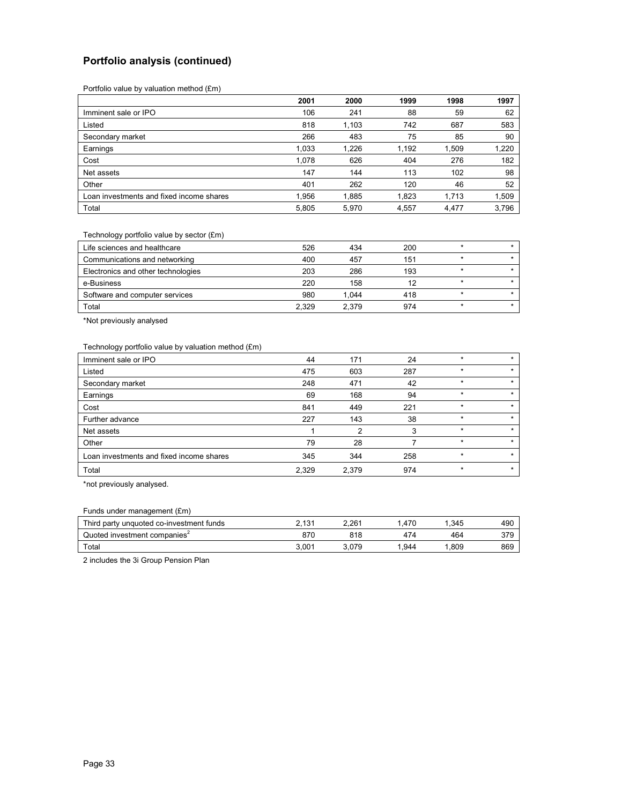## **Portfolio analysis (continued)**

Portfolio value by valuation method (£m)

|                                          | 2001  | 2000  | 1999  | 1998  | 1997  |
|------------------------------------------|-------|-------|-------|-------|-------|
| Imminent sale or IPO                     | 106   | 241   | 88    | 59    | 62    |
| Listed                                   | 818   | 1,103 | 742   | 687   | 583   |
| Secondary market                         | 266   | 483   | 75    | 85    | 90    |
| Earnings                                 | 1,033 | 1.226 | 1,192 | 1,509 | 1,220 |
| Cost                                     | 1.078 | 626   | 404   | 276   | 182   |
| Net assets                               | 147   | 144   | 113   | 102   | 98    |
| Other                                    | 401   | 262   | 120   | 46    | 52    |
| Loan investments and fixed income shares | 1.956 | 1,885 | 1,823 | 1.713 | 1,509 |
| Total                                    | 5,805 | 5,970 | 4,557 | 4,477 | 3,796 |

#### Technology portfolio value by sector (£m)

| Life sciences and healthcare       | 526   | 434   | 200 |  |
|------------------------------------|-------|-------|-----|--|
| Communications and networking      | 400   | 457   | 151 |  |
| Electronics and other technologies | 203   | 286   | 193 |  |
| e-Business                         | 220   | 158   | 12  |  |
| Software and computer services     | 980   | 1.044 | 418 |  |
| Total                              | 2.329 | 2.379 | 974 |  |

\*Not previously analysed

#### Technology portfolio value by valuation method (£m)

| Imminent sale or IPO                     | 44    | 171   | 24  |         | $\star$ |
|------------------------------------------|-------|-------|-----|---------|---------|
| Listed                                   | 475   | 603   | 287 | $\star$ | $\star$ |
| Secondary market                         | 248   | 471   | 42  | $\star$ | $\star$ |
| Earnings                                 | 69    | 168   | 94  | $\star$ | $\star$ |
| Cost                                     | 841   | 449   | 221 |         |         |
| Further advance                          | 227   | 143   | 38  | $\star$ | $\star$ |
| Net assets                               |       | 2     | 3   | $\ast$  | $\star$ |
| Other                                    | 79    | 28    |     | $\star$ | $\star$ |
| Loan investments and fixed income shares | 345   | 344   | 258 | $\star$ | $\star$ |
| Total                                    | 2,329 | 2,379 | 974 | $\star$ | $\star$ |

\*not previously analysed.

#### Funds under management (£m)

| Third party unquoted co-investment funds | <b>CP C</b><br>ו טי<br>. . | 2.261 | .470 | .345 | 490 |
|------------------------------------------|----------------------------|-------|------|------|-----|
| Quoted investment companies <sup>2</sup> | 870                        | 818   | 474  | 464  | 379 |
| Total                                    | 3.001                      | 3.079 | .944 | .809 | 869 |

2 includes the 3i Group Pension Plan